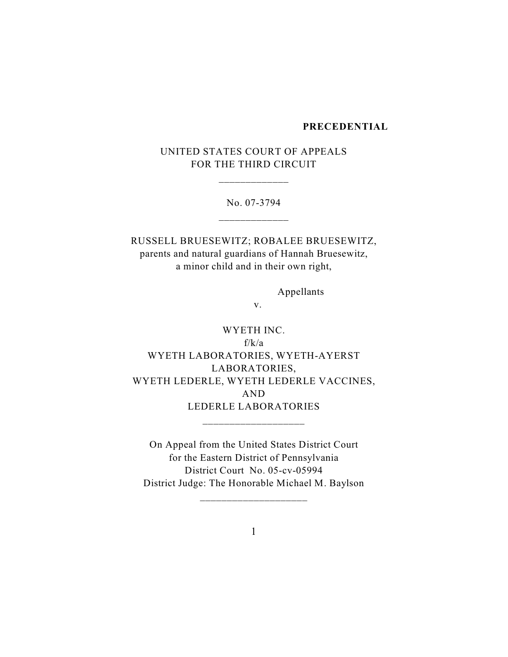#### **PRECEDENTIAL**

UNITED STATES COURT OF APPEALS FOR THE THIRD CIRCUIT

\_\_\_\_\_\_\_\_\_\_\_\_\_

No. 07-3794 \_\_\_\_\_\_\_\_\_\_\_\_\_

RUSSELL BRUESEWITZ; ROBALEE BRUESEWITZ, parents and natural guardians of Hannah Bruesewitz, a minor child and in their own right,

Appellants

v.

WYETH INC. f/k/a WYETH LABORATORIES, WYETH-AYERST LABORATORIES, WYETH LEDERLE, WYETH LEDERLE VACCINES, AND LEDERLE LABORATORIES \_\_\_\_\_\_\_\_\_\_\_\_\_\_\_\_\_\_\_

On Appeal from the United States District Court for the Eastern District of Pennsylvania District Court No. 05-cv-05994 District Judge: The Honorable Michael M. Baylson

\_\_\_\_\_\_\_\_\_\_\_\_\_\_\_\_\_\_\_\_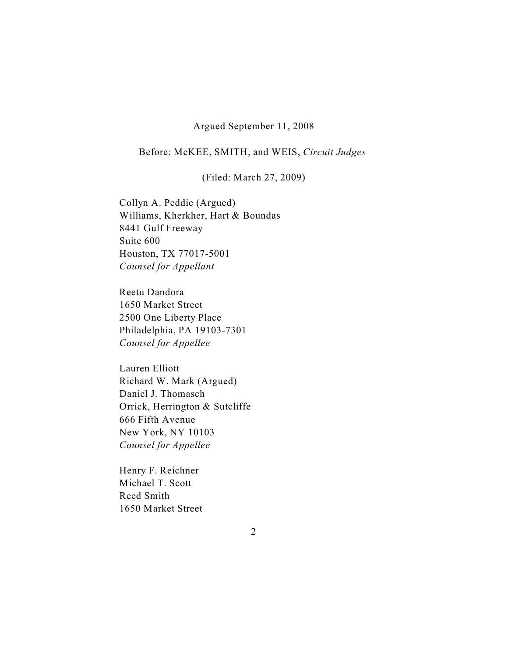### Argued September 11, 2008

# Before: McKEE, SMITH, and WEIS, *Circuit Judges*

(Filed: March 27, 2009)

Collyn A. Peddie (Argued) Williams, Kherkher, Hart & Boundas 8441 Gulf Freeway Suite 600 Houston, TX 77017-5001 *Counsel for Appellant*

Reetu Dandora 1650 Market Street 2500 One Liberty Place Philadelphia, PA 19103-7301 *Counsel for Appellee*

Lauren Elliott Richard W. Mark (Argued) Daniel J. Thomasch Orrick, Herrington & Sutcliffe 666 Fifth Avenue New York, NY 10103 *Counsel for Appellee*

Henry F. Reichner Michael T. Scott Reed Smith 1650 Market Street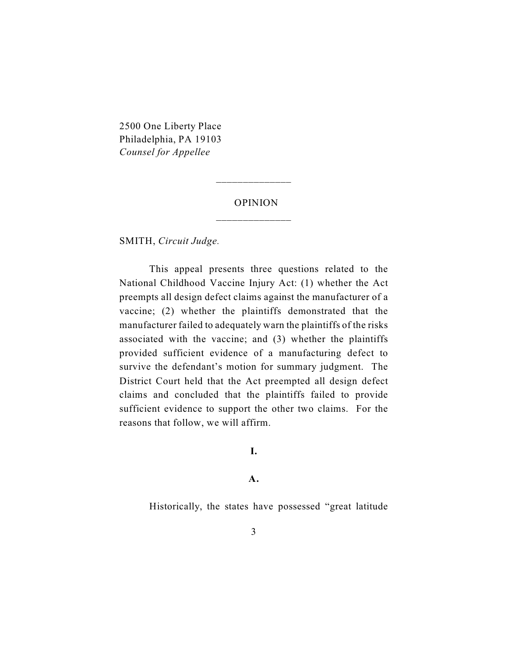2500 One Liberty Place Philadelphia, PA 19103 *Counsel for Appellee*

# OPINION

\_\_\_\_\_\_\_\_\_\_\_\_\_\_

SMITH, *Circuit Judge.*

This appeal presents three questions related to the National Childhood Vaccine Injury Act: (1) whether the Act preempts all design defect claims against the manufacturer of a vaccine; (2) whether the plaintiffs demonstrated that the manufacturer failed to adequately warn the plaintiffs of the risks associated with the vaccine; and (3) whether the plaintiffs provided sufficient evidence of a manufacturing defect to survive the defendant's motion for summary judgment. The District Court held that the Act preempted all design defect claims and concluded that the plaintiffs failed to provide sufficient evidence to support the other two claims. For the reasons that follow, we will affirm.

**I.**

**A.**

Historically, the states have possessed "great latitude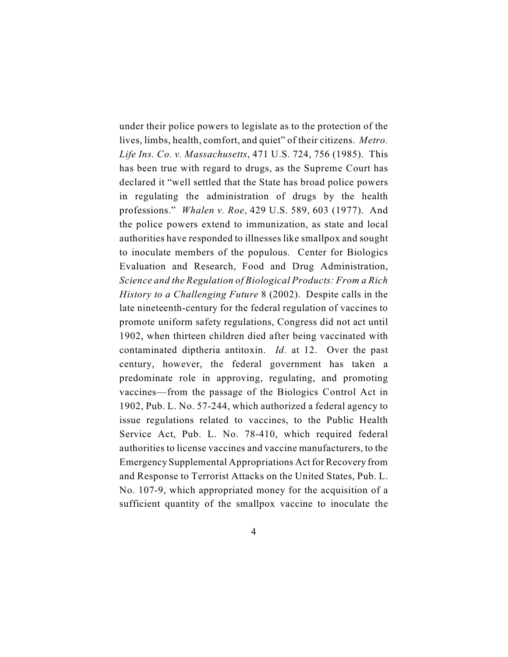under their police powers to legislate as to the protection of the lives, limbs, health, comfort, and quiet" of their citizens. *Metro. Life Ins. Co. v. Massachusetts*, 471 U.S. 724, 756 (1985). This has been true with regard to drugs, as the Supreme Court has declared it "well settled that the State has broad police powers in regulating the administration of drugs by the health professions." *Whalen v. Roe*, 429 U.S. 589, 603 (1977). And the police powers extend to immunization, as state and local authorities have responded to illnesses like smallpox and sought to inoculate members of the populous. Center for Biologics Evaluation and Research, Food and Drug Administration, *Science and the Regulation of Biological Products: From a Rich History to a Challenging Future* 8 (2002). Despite calls in the late nineteenth-century for the federal regulation of vaccines to promote uniform safety regulations, Congress did not act until 1902, when thirteen children died after being vaccinated with contaminated diptheria antitoxin. *Id.* at 12. Over the past century, however, the federal government has taken a predominate role in approving, regulating, and promoting vaccines—from the passage of the Biologics Control Act in 1902, Pub. L. No. 57-244, which authorized a federal agency to issue regulations related to vaccines, to the Public Health Service Act, Pub. L. No. 78-410, which required federal authorities to license vaccines and vaccine manufacturers, to the Emergency Supplemental Appropriations Act for Recovery from and Response to Terrorist Attacks on the United States, Pub. L. No. 107-9, which appropriated money for the acquisition of a sufficient quantity of the smallpox vaccine to inoculate the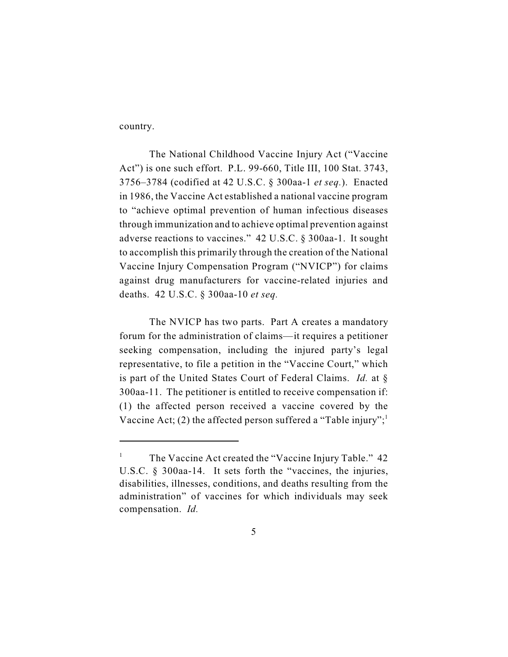country.

The National Childhood Vaccine Injury Act ("Vaccine Act") is one such effort. P.L. 99-660, Title III, 100 Stat. 3743, 3756–3784 (codified at 42 U.S.C. § 300aa-1 *et seq.*). Enacted in 1986, the Vaccine Act established a national vaccine program to "achieve optimal prevention of human infectious diseases through immunization and to achieve optimal prevention against adverse reactions to vaccines." 42 U.S.C. § 300aa-1. It sought to accomplish this primarily through the creation of the National Vaccine Injury Compensation Program ("NVICP") for claims against drug manufacturers for vaccine-related injuries and deaths. 42 U.S.C. § 300aa-10 *et seq.*

The NVICP has two parts. Part A creates a mandatory forum for the administration of claims—it requires a petitioner seeking compensation, including the injured party's legal representative, to file a petition in the "Vaccine Court," which is part of the United States Court of Federal Claims. *Id.* at § 300aa-11. The petitioner is entitled to receive compensation if: (1) the affected person received a vaccine covered by the Vaccine Act; (2) the affected person suffered a "Table injury";<sup>1</sup>

<sup>&</sup>lt;sup>1</sup> The Vaccine Act created the "Vaccine Injury Table."  $42$ U.S.C. § 300aa-14. It sets forth the "vaccines, the injuries, disabilities, illnesses, conditions, and deaths resulting from the administration" of vaccines for which individuals may seek compensation. *Id.*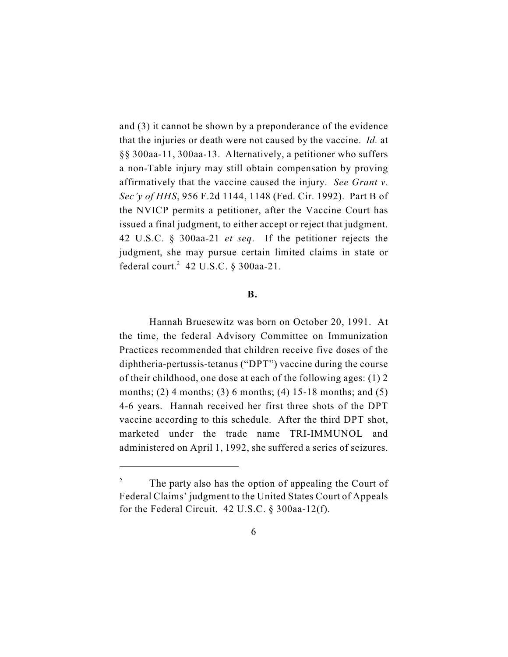and (3) it cannot be shown by a preponderance of the evidence that the injuries or death were not caused by the vaccine. *Id.* at §§ 300aa-11, 300aa-13. Alternatively, a petitioner who suffers a non-Table injury may still obtain compensation by proving affirmatively that the vaccine caused the injury. *See Grant v. Sec'y of HHS*, 956 F.2d 1144, 1148 (Fed. Cir. 1992). Part B of the NVICP permits a petitioner, after the Vaccine Court has issued a final judgment, to either accept or reject that judgment. 42 U.S.C. § 300aa-21 *et seq*. If the petitioner rejects the judgment, she may pursue certain limited claims in state or federal court.<sup>2</sup> 42 U.S.C.  $\S$  300aa-21.

#### **B.**

Hannah Bruesewitz was born on October 20, 1991. At the time, the federal Advisory Committee on Immunization Practices recommended that children receive five doses of the diphtheria-pertussis-tetanus ("DPT") vaccine during the course of their childhood, one dose at each of the following ages: (1) 2 months; (2) 4 months; (3) 6 months; (4) 15-18 months; and (5) 4-6 years. Hannah received her first three shots of the DPT vaccine according to this schedule. After the third DPT shot, marketed under the trade name TRI-IMMUNOL and administered on April 1, 1992, she suffered a series of seizures.

<sup>&</sup>lt;sup>2</sup> The party also has the option of appealing the Court of Federal Claims' judgment to the United States Court of Appeals for the Federal Circuit. 42 U.S.C. § 300aa-12(f).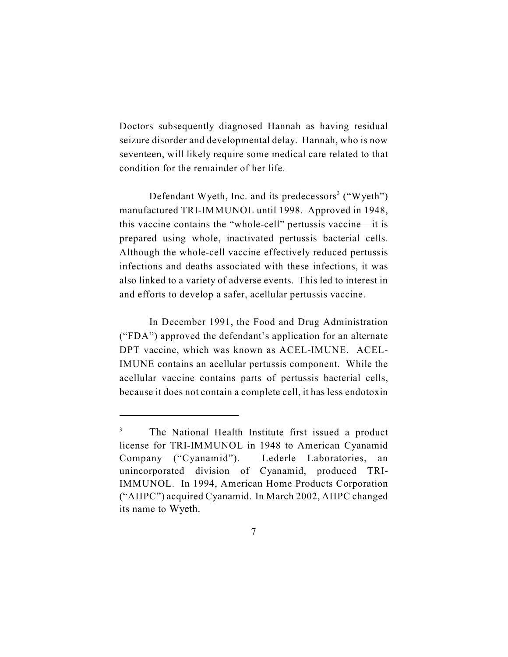Doctors subsequently diagnosed Hannah as having residual seizure disorder and developmental delay. Hannah, who is now seventeen, will likely require some medical care related to that condition for the remainder of her life.

Defendant Wyeth, Inc. and its predecessors<sup>3</sup> ("Wyeth") manufactured TRI-IMMUNOL until 1998. Approved in 1948, this vaccine contains the "whole-cell" pertussis vaccine—it is prepared using whole, inactivated pertussis bacterial cells. Although the whole-cell vaccine effectively reduced pertussis infections and deaths associated with these infections, it was also linked to a variety of adverse events. This led to interest in and efforts to develop a safer, acellular pertussis vaccine.

In December 1991, the Food and Drug Administration ("FDA") approved the defendant's application for an alternate DPT vaccine, which was known as ACEL-IMUNE. ACEL-IMUNE contains an acellular pertussis component. While the acellular vaccine contains parts of pertussis bacterial cells, because it does not contain a complete cell, it has less endotoxin

<sup>&</sup>lt;sup>3</sup> The National Health Institute first issued a product license for TRI-IMMUNOL in 1948 to American Cyanamid Company ("Cyanamid"). Lederle Laboratories, an unincorporated division of Cyanamid, produced TRI-IMMUNOL. In 1994, American Home Products Corporation ("AHPC") acquired Cyanamid. In March 2002, AHPC changed its name to Wyeth.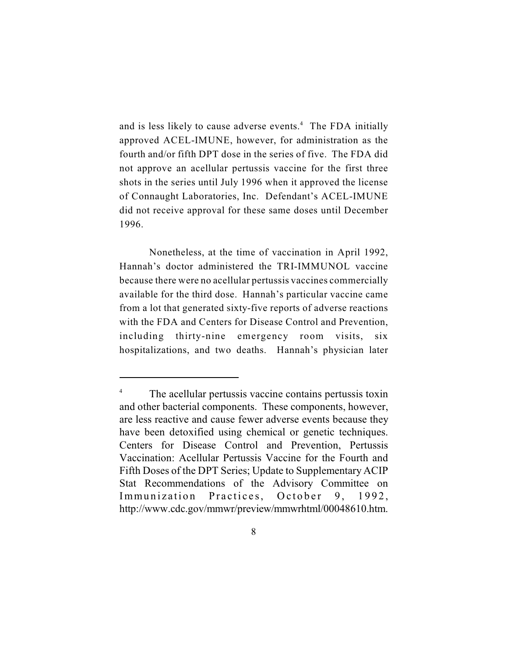and is less likely to cause adverse events. $4$  The FDA initially approved ACEL-IMUNE, however, for administration as the fourth and/or fifth DPT dose in the series of five. The FDA did not approve an acellular pertussis vaccine for the first three shots in the series until July 1996 when it approved the license of Connaught Laboratories, Inc. Defendant's ACEL-IMUNE did not receive approval for these same doses until December 1996.

Nonetheless, at the time of vaccination in April 1992, Hannah's doctor administered the TRI-IMMUNOL vaccine because there were no acellular pertussis vaccines commercially available for the third dose. Hannah's particular vaccine came from a lot that generated sixty-five reports of adverse reactions with the FDA and Centers for Disease Control and Prevention, including thirty-nine emergency room visits, six hospitalizations, and two deaths. Hannah's physician later

<sup>&</sup>lt;sup>4</sup> The acellular pertussis vaccine contains pertussis toxin and other bacterial components. These components, however, are less reactive and cause fewer adverse events because they have been detoxified using chemical or genetic techniques. Centers for Disease Control and Prevention, Pertussis Vaccination: Acellular Pertussis Vaccine for the Fourth and Fifth Doses of the DPT Series; Update to Supplementary ACIP Stat Recommendations of the Advisory Committee on Immunization Practices, October 9, 1992, http://www.cdc.gov/mmwr/preview/mmwrhtml/00048610.htm.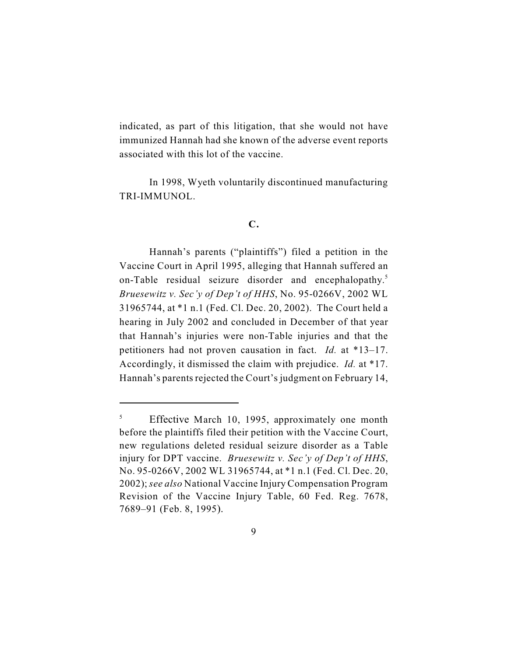indicated, as part of this litigation, that she would not have immunized Hannah had she known of the adverse event reports associated with this lot of the vaccine.

In 1998, Wyeth voluntarily discontinued manufacturing TRI-IMMUNOL.

# **C.**

Hannah's parents ("plaintiffs") filed a petition in the Vaccine Court in April 1995, alleging that Hannah suffered an on-Table residual seizure disorder and encephalopathy.<sup>5</sup> *Bruesewitz v. Sec'y of Dep't of HHS*, No. 95-0266V, 2002 WL 31965744, at \*1 n.1 (Fed. Cl. Dec. 20, 2002). The Court held a hearing in July 2002 and concluded in December of that year that Hannah's injuries were non-Table injuries and that the petitioners had not proven causation in fact. *Id.* at \*13–17. Accordingly, it dismissed the claim with prejudice. *Id.* at \*17. Hannah's parents rejected the Court's judgment on February 14,

 $^5$  Effective March 10, 1995, approximately one month before the plaintiffs filed their petition with the Vaccine Court, new regulations deleted residual seizure disorder as a Table injury for DPT vaccine. *Bruesewitz v. Sec'y of Dep't of HHS*, No. 95-0266V, 2002 WL 31965744, at \*1 n.1 (Fed. Cl. Dec. 20, 2002); *see also* National Vaccine Injury Compensation Program Revision of the Vaccine Injury Table, 60 Fed. Reg. 7678, 7689–91 (Feb. 8, 1995).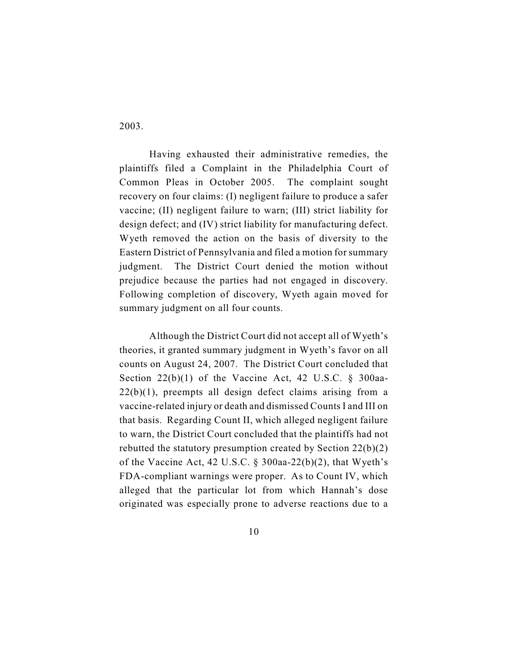2003.

Having exhausted their administrative remedies, the plaintiffs filed a Complaint in the Philadelphia Court of Common Pleas in October 2005. The complaint sought recovery on four claims: (I) negligent failure to produce a safer vaccine; (II) negligent failure to warn; (III) strict liability for design defect; and (IV) strict liability for manufacturing defect. Wyeth removed the action on the basis of diversity to the Eastern District of Pennsylvania and filed a motion for summary judgment. The District Court denied the motion without prejudice because the parties had not engaged in discovery. Following completion of discovery, Wyeth again moved for summary judgment on all four counts.

Although the District Court did not accept all of Wyeth's theories, it granted summary judgment in Wyeth's favor on all counts on August 24, 2007. The District Court concluded that Section  $22(b)(1)$  of the Vaccine Act, 42 U.S.C. § 300aa- $22(b)(1)$ , preempts all design defect claims arising from a vaccine-related injury or death and dismissed Counts I and III on that basis. Regarding Count II, which alleged negligent failure to warn, the District Court concluded that the plaintiffs had not rebutted the statutory presumption created by Section 22(b)(2) of the Vaccine Act, 42 U.S.C. § 300aa-22(b)(2), that Wyeth's FDA-compliant warnings were proper. As to Count IV, which alleged that the particular lot from which Hannah's dose originated was especially prone to adverse reactions due to a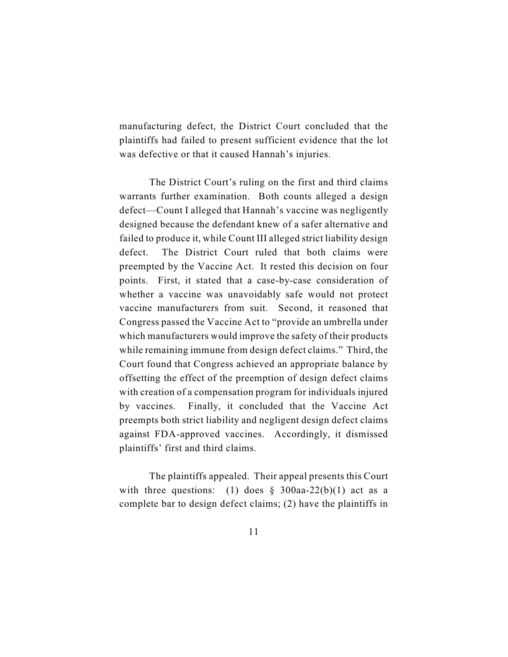manufacturing defect, the District Court concluded that the plaintiffs had failed to present sufficient evidence that the lot was defective or that it caused Hannah's injuries.

The District Court's ruling on the first and third claims warrants further examination. Both counts alleged a design defect—Count I alleged that Hannah's vaccine was negligently designed because the defendant knew of a safer alternative and failed to produce it, while Count III alleged strict liability design defect. The District Court ruled that both claims were preempted by the Vaccine Act. It rested this decision on four points. First, it stated that a case-by-case consideration of whether a vaccine was unavoidably safe would not protect vaccine manufacturers from suit. Second, it reasoned that Congress passed the Vaccine Act to "provide an umbrella under which manufacturers would improve the safety of their products while remaining immune from design defect claims." Third, the Court found that Congress achieved an appropriate balance by offsetting the effect of the preemption of design defect claims with creation of a compensation program for individuals injured by vaccines. Finally, it concluded that the Vaccine Act preempts both strict liability and negligent design defect claims against FDA-approved vaccines. Accordingly, it dismissed plaintiffs' first and third claims.

The plaintiffs appealed. Their appeal presents this Court with three questions: (1) does  $\S$  300aa-22(b)(1) act as a complete bar to design defect claims; (2) have the plaintiffs in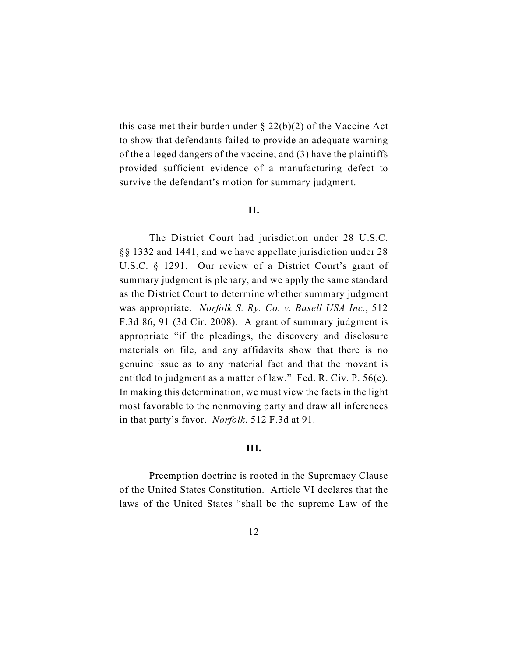this case met their burden under  $\S 22(b)(2)$  of the Vaccine Act to show that defendants failed to provide an adequate warning of the alleged dangers of the vaccine; and (3) have the plaintiffs provided sufficient evidence of a manufacturing defect to survive the defendant's motion for summary judgment.

#### **II.**

The District Court had jurisdiction under 28 U.S.C. §§ 1332 and 1441, and we have appellate jurisdiction under 28 U.S.C. § 1291. Our review of a District Court's grant of summary judgment is plenary, and we apply the same standard as the District Court to determine whether summary judgment was appropriate. *Norfolk S. Ry. Co. v. Basell USA Inc.*, 512 F.3d 86, 91 (3d Cir. 2008). A grant of summary judgment is appropriate "if the pleadings, the discovery and disclosure materials on file, and any affidavits show that there is no genuine issue as to any material fact and that the movant is entitled to judgment as a matter of law." Fed. R. Civ. P. 56(c). In making this determination, we must view the facts in the light most favorable to the nonmoving party and draw all inferences in that party's favor. *Norfolk*, 512 F.3d at 91.

# **III.**

Preemption doctrine is rooted in the Supremacy Clause of the United States Constitution. Article VI declares that the laws of the United States "shall be the supreme Law of the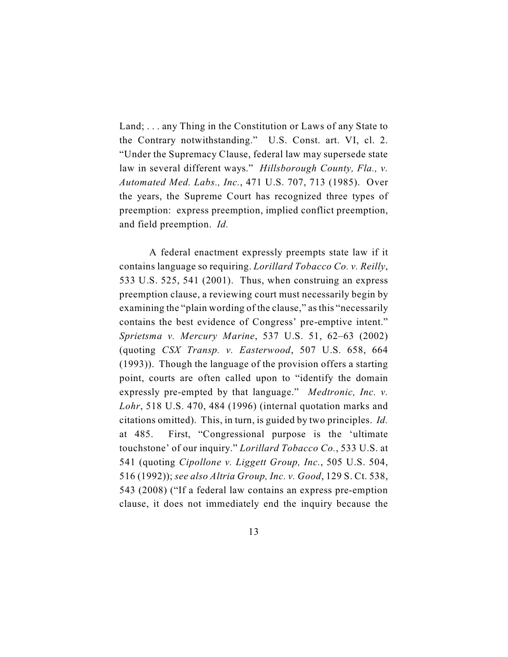Land; . . . any Thing in the Constitution or Laws of any State to the Contrary notwithstanding." U.S. Const. art. VI, cl. 2. "Under the Supremacy Clause, federal law may supersede state law in several different ways." *Hillsborough County, Fla., v. Automated Med. Labs., Inc.*, 471 U.S. 707, 713 (1985). Over the years, the Supreme Court has recognized three types of preemption: express preemption, implied conflict preemption, and field preemption. *Id.*

A federal enactment expressly preempts state law if it contains language so requiring. *Lorillard Tobacco Co. v. Reilly*, 533 U.S. 525, 541 (2001). Thus, when construing an express preemption clause, a reviewing court must necessarily begin by examining the "plain wording of the clause," as this "necessarily contains the best evidence of Congress' pre-emptive intent." *Sprietsma v. Mercury Marine*, 537 U.S. 51, 62–63 (2002) (quoting *CSX Transp. v. Easterwood*, 507 U.S. 658, 664 (1993)). Though the language of the provision offers a starting point, courts are often called upon to "identify the domain expressly pre-empted by that language." *Medtronic, Inc. v. Lohr*, 518 U.S. 470, 484 (1996) (internal quotation marks and citations omitted). This, in turn, is guided by two principles. *Id.* at 485. First, "Congressional purpose is the 'ultimate touchstone' of our inquiry." *Lorillard Tobacco Co.*, 533 U.S. at 541 (quoting *Cipollone v. Liggett Group, Inc.*, 505 U.S. 504, 516 (1992)); *see also Altria Group, Inc. v. Good*, 129 S. Ct. 538, 543 (2008) ("If a federal law contains an express pre-emption clause, it does not immediately end the inquiry because the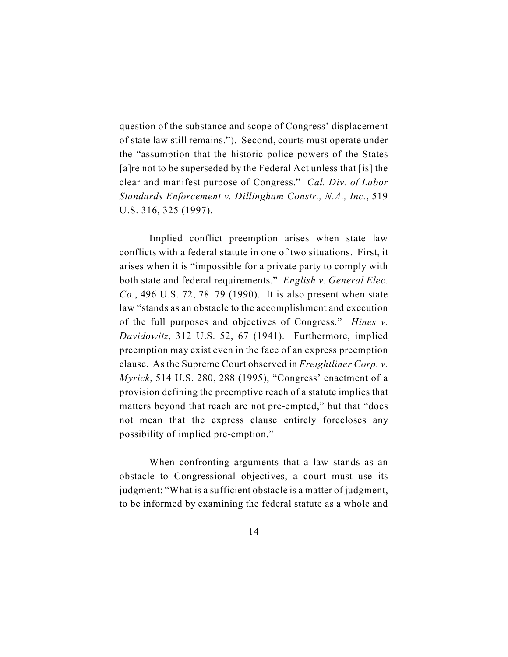question of the substance and scope of Congress' displacement of state law still remains."). Second, courts must operate under the "assumption that the historic police powers of the States [a]re not to be superseded by the Federal Act unless that [is] the clear and manifest purpose of Congress." *Cal. Div. of Labor Standards Enforcement v. Dillingham Constr., N.A., Inc.*, 519 U.S. 316, 325 (1997).

Implied conflict preemption arises when state law conflicts with a federal statute in one of two situations. First, it arises when it is "impossible for a private party to comply with both state and federal requirements." *English v. General Elec. Co.*, 496 U.S. 72, 78–79 (1990). It is also present when state law "stands as an obstacle to the accomplishment and execution of the full purposes and objectives of Congress." *Hines v. Davidowitz*, 312 U.S. 52, 67 (1941). Furthermore, implied preemption may exist even in the face of an express preemption clause. As the Supreme Court observed in *Freightliner Corp. v. Myrick*, 514 U.S. 280, 288 (1995), "Congress' enactment of a provision defining the preemptive reach of a statute implies that matters beyond that reach are not pre-empted," but that "does not mean that the express clause entirely forecloses any possibility of implied pre-emption."

When confronting arguments that a law stands as an obstacle to Congressional objectives, a court must use its judgment: "What is a sufficient obstacle is a matter of judgment, to be informed by examining the federal statute as a whole and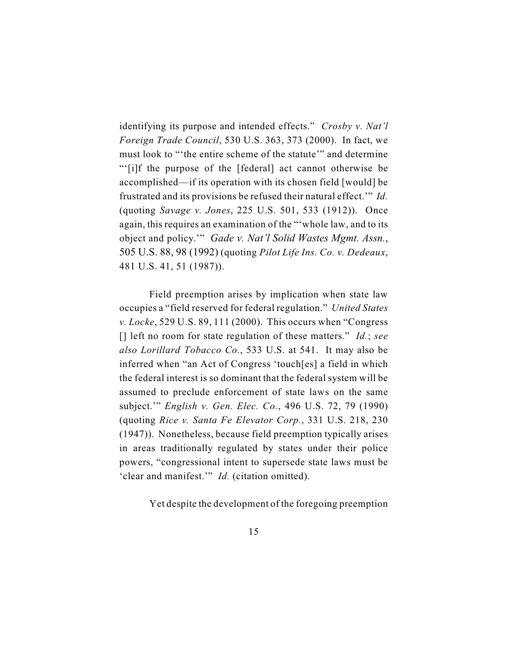identifying its purpose and intended effects." *Crosby v. Nat'l Foreign Trade Council*, 530 U.S. 363, 373 (2000). In fact, we must look to "'the entire scheme of the statute'" and determine "'[i]f the purpose of the [federal] act cannot otherwise be accomplished—if its operation with its chosen field [would] be frustrated and its provisions be refused their natural effect.'" *Id.* (quoting *Savage v. Jones*, 225 U.S. 501, 533 (1912)). Once again, this requires an examination of the "'whole law, and to its object and policy.'" *Gade v. Nat'l Solid Wastes Mgmt. Assn.*, 505 U.S. 88, 98 (1992) (quoting *Pilot Life Ins. Co. v. Dedeaux*, 481 U.S. 41, 51 (1987)).

Field preemption arises by implication when state law occupies a "field reserved for federal regulation." *United States v. Locke*, 529 U.S. 89, 111 (2000). This occurs when "Congress [] left no room for state regulation of these matters." *Id.*; *see also Lorillard Tobacco Co.*, 533 U.S. at 541. It may also be inferred when "an Act of Congress 'touch[es] a field in which the federal interest is so dominant that the federal system will be assumed to preclude enforcement of state laws on the same subject.'" *English v. Gen. Elec. Co.*, 496 U.S. 72, 79 (1990) (quoting *Rice v. Santa Fe Elevator Corp.*, 331 U.S. 218, 230 (1947)). Nonetheless, because field preemption typically arises in areas traditionally regulated by states under their police powers, "congressional intent to supersede state laws must be 'clear and manifest.'" *Id.* (citation omitted).

Yet despite the development of the foregoing preemption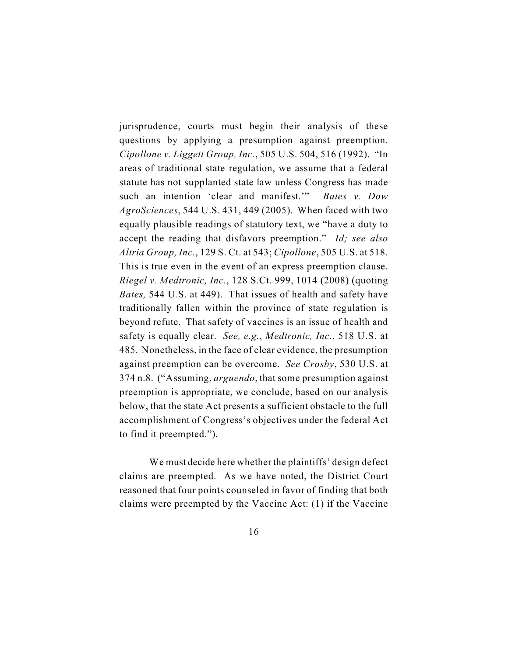jurisprudence, courts must begin their analysis of these questions by applying a presumption against preemption. *Cipollone v. Liggett Group, Inc.*, 505 U.S. 504, 516 (1992). "In areas of traditional state regulation, we assume that a federal statute has not supplanted state law unless Congress has made such an intention 'clear and manifest.'" *Bates v. Dow AgroSciences*, 544 U.S. 431, 449 (2005). When faced with two equally plausible readings of statutory text, we "have a duty to accept the reading that disfavors preemption." *Id; see also Altria Group, Inc.*, 129 S. Ct. at 543; *Cipollone*, 505 U.S. at 518. This is true even in the event of an express preemption clause. *Riegel v. Medtronic, Inc.*, 128 S.Ct. 999, 1014 (2008) (quoting *Bates,* 544 U.S. at 449). That issues of health and safety have traditionally fallen within the province of state regulation is beyond refute. That safety of vaccines is an issue of health and safety is equally clear. *See, e.g.*, *Medtronic, Inc.*, 518 U.S. at 485. Nonetheless, in the face of clear evidence, the presumption against preemption can be overcome. *See Crosby*, 530 U.S. at 374 n.8. ("Assuming, *arguendo*, that some presumption against preemption is appropriate, we conclude, based on our analysis below, that the state Act presents a sufficient obstacle to the full accomplishment of Congress's objectives under the federal Act to find it preempted.").

We must decide here whether the plaintiffs' design defect claims are preempted. As we have noted, the District Court reasoned that four points counseled in favor of finding that both claims were preempted by the Vaccine Act: (1) if the Vaccine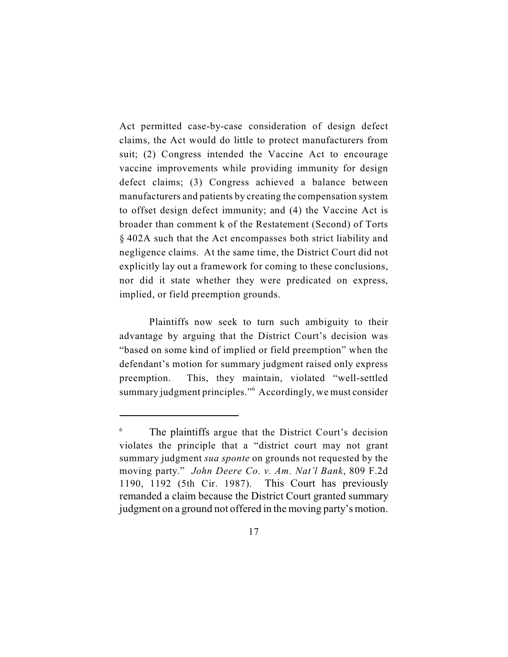Act permitted case-by-case consideration of design defect claims, the Act would do little to protect manufacturers from suit; (2) Congress intended the Vaccine Act to encourage vaccine improvements while providing immunity for design defect claims; (3) Congress achieved a balance between manufacturers and patients by creating the compensation system to offset design defect immunity; and (4) the Vaccine Act is broader than comment k of the Restatement (Second) of Torts § 402A such that the Act encompasses both strict liability and negligence claims. At the same time, the District Court did not explicitly lay out a framework for coming to these conclusions, nor did it state whether they were predicated on express, implied, or field preemption grounds.

Plaintiffs now seek to turn such ambiguity to their advantage by arguing that the District Court's decision was "based on some kind of implied or field preemption" when the defendant's motion for summary judgment raised only express preemption. This, they maintain, violated "well-settled summary judgment principles."<sup>6</sup> Accordingly, we must consider

 $6\degree$  The plaintiffs argue that the District Court's decision violates the principle that a "district court may not grant summary judgment *sua sponte* on grounds not requested by the moving party." *John Deere Co. v. Am. Nat'l Bank*, 809 F.2d 1190, 1192 (5th Cir. 1987). This Court has previously remanded a claim because the District Court granted summary judgment on a ground not offered in the moving party's motion.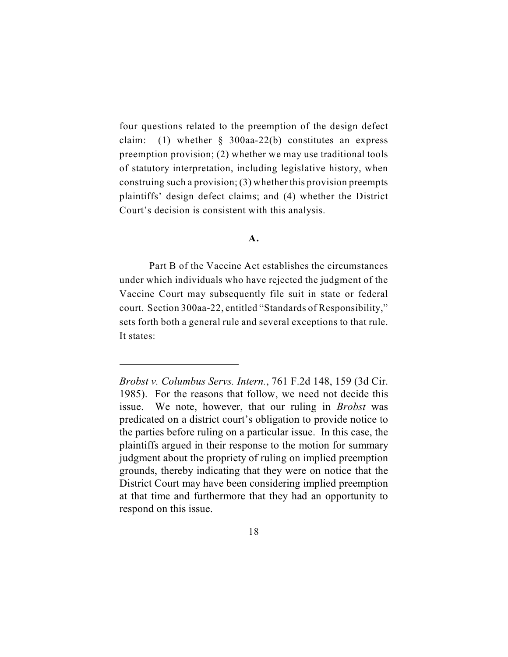four questions related to the preemption of the design defect claim: (1) whether  $\S$  300aa-22(b) constitutes an express preemption provision; (2) whether we may use traditional tools of statutory interpretation, including legislative history, when construing such a provision; (3) whether this provision preempts plaintiffs' design defect claims; and (4) whether the District Court's decision is consistent with this analysis.

### **A.**

Part B of the Vaccine Act establishes the circumstances under which individuals who have rejected the judgment of the Vaccine Court may subsequently file suit in state or federal court. Section 300aa-22, entitled "Standards of Responsibility," sets forth both a general rule and several exceptions to that rule. It states:

*Brobst v. Columbus Servs. Intern.*, 761 F.2d 148, 159 (3d Cir. 1985). For the reasons that follow, we need not decide this issue. We note, however, that our ruling in *Brobst* was predicated on a district court's obligation to provide notice to the parties before ruling on a particular issue. In this case, the plaintiffs argued in their response to the motion for summary judgment about the propriety of ruling on implied preemption grounds, thereby indicating that they were on notice that the District Court may have been considering implied preemption at that time and furthermore that they had an opportunity to respond on this issue.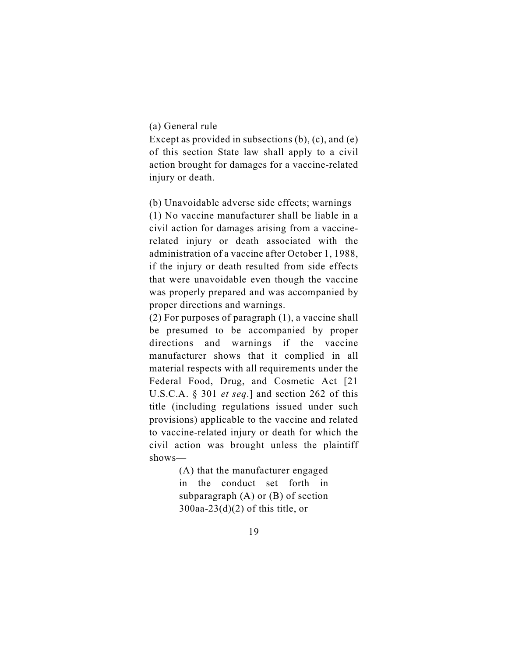### (a) General rule

Except as provided in subsections (b), (c), and (e) of this section State law shall apply to a civil action brought for damages for a vaccine-related injury or death.

(b) Unavoidable adverse side effects; warnings

(1) No vaccine manufacturer shall be liable in a civil action for damages arising from a vaccinerelated injury or death associated with the administration of a vaccine after October 1, 1988, if the injury or death resulted from side effects that were unavoidable even though the vaccine was properly prepared and was accompanied by proper directions and warnings.

(2) For purposes of paragraph (1), a vaccine shall be presumed to be accompanied by proper directions and warnings if the vaccine manufacturer shows that it complied in all material respects with all requirements under the Federal Food, Drug, and Cosmetic Act [21 U.S.C.A. § 301 *et seq*.] and section 262 of this title (including regulations issued under such provisions) applicable to the vaccine and related to vaccine-related injury or death for which the civil action was brought unless the plaintiff shows—

> (A) that the manufacturer engaged in the conduct set forth in subparagraph (A) or (B) of section  $300$ aa- $23(d)(2)$  of this title, or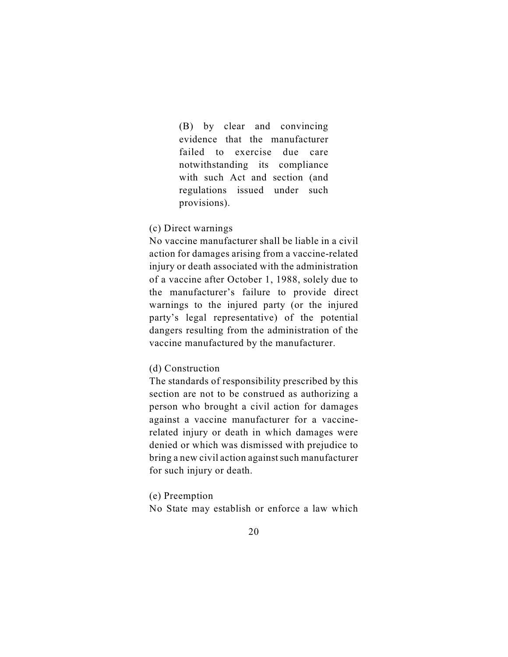(B) by clear and convincing evidence that the manufacturer failed to exercise due care notwithstanding its compliance with such Act and section (and regulations issued under such provisions).

# (c) Direct warnings

No vaccine manufacturer shall be liable in a civil action for damages arising from a vaccine-related injury or death associated with the administration of a vaccine after October 1, 1988, solely due to the manufacturer's failure to provide direct warnings to the injured party (or the injured party's legal representative) of the potential dangers resulting from the administration of the vaccine manufactured by the manufacturer.

### (d) Construction

The standards of responsibility prescribed by this section are not to be construed as authorizing a person who brought a civil action for damages against a vaccine manufacturer for a vaccinerelated injury or death in which damages were denied or which was dismissed with prejudice to bring a new civil action against such manufacturer for such injury or death.

(e) Preemption

No State may establish or enforce a law which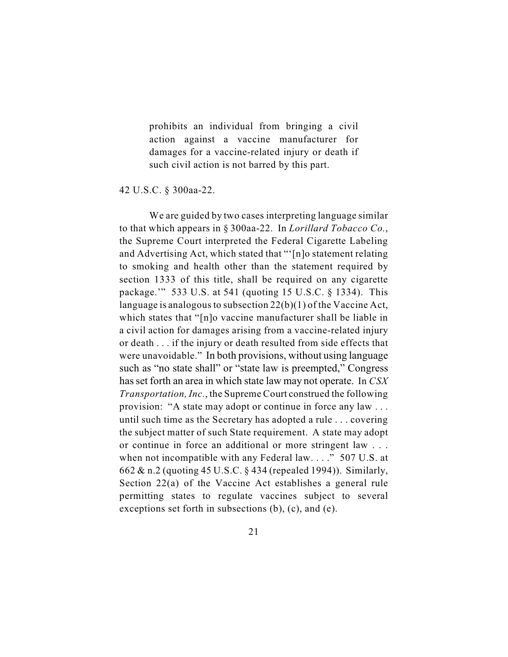prohibits an individual from bringing a civil action against a vaccine manufacturer for damages for a vaccine-related injury or death if such civil action is not barred by this part.

42 U.S.C. § 300aa-22.

We are guided by two cases interpreting language similar to that which appears in § 300aa-22. In *Lorillard Tobacco Co.*, the Supreme Court interpreted the Federal Cigarette Labeling and Advertising Act, which stated that "'[n]o statement relating to smoking and health other than the statement required by section 1333 of this title, shall be required on any cigarette package.'" 533 U.S. at 541 (quoting 15 U.S.C. § 1334). This language is analogous to subsection 22(b)(1) of the Vaccine Act, which states that "[n]o vaccine manufacturer shall be liable in a civil action for damages arising from a vaccine-related injury or death . . . if the injury or death resulted from side effects that were unavoidable." In both provisions, without using language such as "no state shall" or "state law is preempted," Congress has set forth an area in which state law may not operate. In *CSX Transportation, Inc.*, the Supreme Court construed the following provision: "A state may adopt or continue in force any law . . . until such time as the Secretary has adopted a rule . . . covering the subject matter of such State requirement. A state may adopt or continue in force an additional or more stringent law . . . when not incompatible with any Federal law. . . ." 507 U.S. at 662 & n.2 (quoting 45 U.S.C. § 434 (repealed 1994)). Similarly, Section 22(a) of the Vaccine Act establishes a general rule permitting states to regulate vaccines subject to several exceptions set forth in subsections (b), (c), and (e).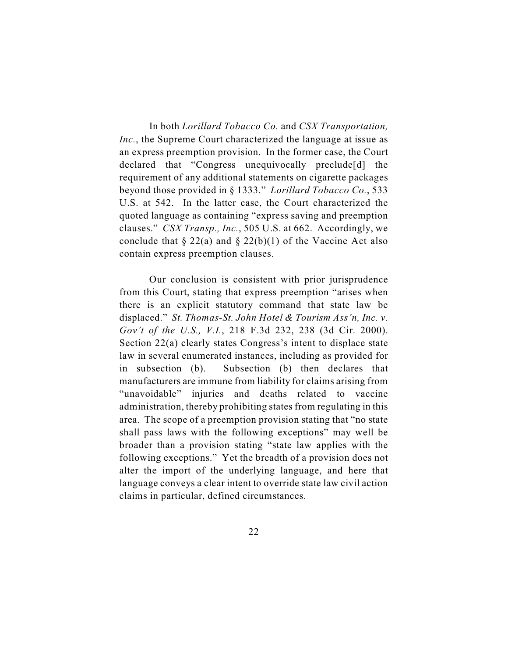In both *Lorillard Tobacco Co.* and *CSX Transportation, Inc.*, the Supreme Court characterized the language at issue as an express preemption provision. In the former case, the Court declared that "Congress unequivocally preclude[d] the requirement of any additional statements on cigarette packages beyond those provided in § 1333." *Lorillard Tobacco Co.*, 533 U.S. at 542. In the latter case, the Court characterized the quoted language as containing "express saving and preemption clauses." *CSX Transp., Inc.*, 505 U.S. at 662. Accordingly, we conclude that  $\S 22(a)$  and  $\S 22(b)(1)$  of the Vaccine Act also contain express preemption clauses.

Our conclusion is consistent with prior jurisprudence from this Court, stating that express preemption "arises when there is an explicit statutory command that state law be displaced." *St. Thomas-St. John Hotel & Tourism Ass'n, Inc. v. Gov't of the U.S., V.I.*, 218 F.3d 232, 238 (3d Cir. 2000). Section 22(a) clearly states Congress's intent to displace state law in several enumerated instances, including as provided for in subsection (b). Subsection (b) then declares that manufacturers are immune from liability for claims arising from "unavoidable" injuries and deaths related to vaccine administration, thereby prohibiting states from regulating in this area. The scope of a preemption provision stating that "no state shall pass laws with the following exceptions" may well be broader than a provision stating "state law applies with the following exceptions." Yet the breadth of a provision does not alter the import of the underlying language, and here that language conveys a clear intent to override state law civil action claims in particular, defined circumstances.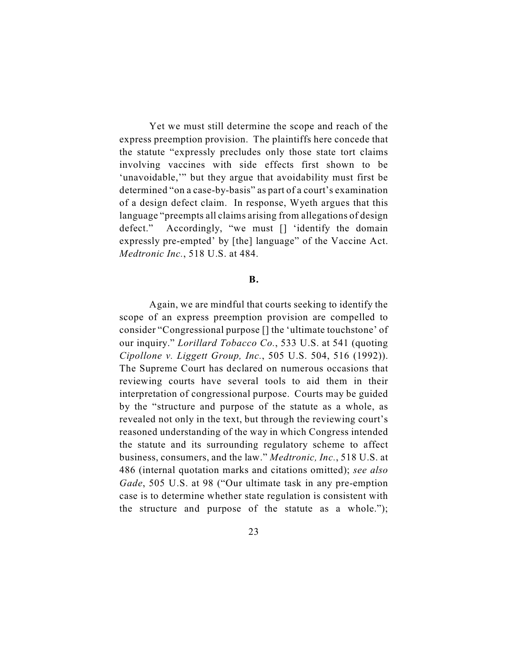Yet we must still determine the scope and reach of the express preemption provision. The plaintiffs here concede that the statute "expressly precludes only those state tort claims involving vaccines with side effects first shown to be 'unavoidable,'" but they argue that avoidability must first be determined "on a case-by-basis" as part of a court's examination of a design defect claim. In response, Wyeth argues that this language "preempts all claims arising from allegations of design defect." Accordingly, "we must [] 'identify the domain expressly pre-empted' by [the] language" of the Vaccine Act. *Medtronic Inc.*, 518 U.S. at 484.

#### **B.**

Again, we are mindful that courts seeking to identify the scope of an express preemption provision are compelled to consider "Congressional purpose [] the 'ultimate touchstone' of our inquiry." *Lorillard Tobacco Co.*, 533 U.S. at 541 (quoting *Cipollone v. Liggett Group, Inc.*, 505 U.S. 504, 516 (1992)). The Supreme Court has declared on numerous occasions that reviewing courts have several tools to aid them in their interpretation of congressional purpose. Courts may be guided by the "structure and purpose of the statute as a whole, as revealed not only in the text, but through the reviewing court's reasoned understanding of the way in which Congress intended the statute and its surrounding regulatory scheme to affect business, consumers, and the law." *Medtronic, Inc.*, 518 U.S. at 486 (internal quotation marks and citations omitted); *see also Gade*, 505 U.S. at 98 ("Our ultimate task in any pre-emption case is to determine whether state regulation is consistent with the structure and purpose of the statute as a whole.");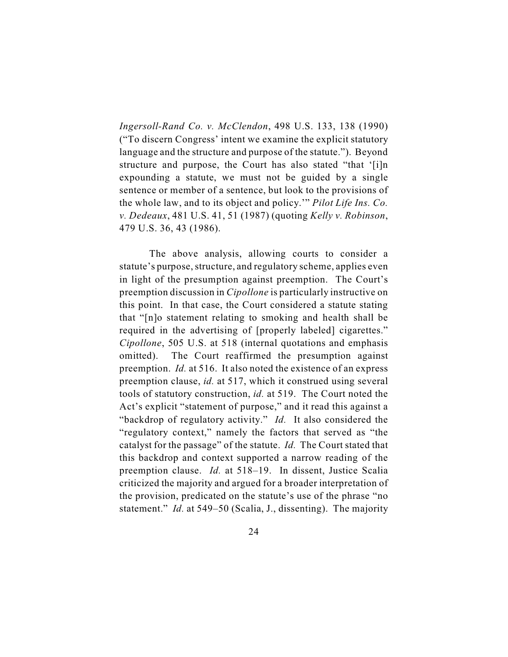*Ingersoll-Rand Co. v. McClendon*, 498 U.S. 133, 138 (1990) ("To discern Congress' intent we examine the explicit statutory language and the structure and purpose of the statute."). Beyond structure and purpose, the Court has also stated "that '[i]n expounding a statute, we must not be guided by a single sentence or member of a sentence, but look to the provisions of the whole law, and to its object and policy.'" *Pilot Life Ins. Co. v. Dedeaux*, 481 U.S. 41, 51 (1987) (quoting *Kelly v. Robinson*, 479 U.S. 36, 43 (1986).

The above analysis, allowing courts to consider a statute's purpose, structure, and regulatory scheme, applies even in light of the presumption against preemption. The Court's preemption discussion in *Cipollone* is particularly instructive on this point. In that case, the Court considered a statute stating that "[n]o statement relating to smoking and health shall be required in the advertising of [properly labeled] cigarettes." *Cipollone*, 505 U.S. at 518 (internal quotations and emphasis omitted). The Court reaffirmed the presumption against preemption. *Id.* at 516. It also noted the existence of an express preemption clause, *id.* at 517, which it construed using several tools of statutory construction, *id.* at 519. The Court noted the Act's explicit "statement of purpose," and it read this against a "backdrop of regulatory activity." *Id.* It also considered the "regulatory context," namely the factors that served as "the catalyst for the passage" of the statute. *Id.* The Court stated that this backdrop and context supported a narrow reading of the preemption clause. *Id.* at 518–19. In dissent, Justice Scalia criticized the majority and argued for a broader interpretation of the provision, predicated on the statute's use of the phrase "no statement." *Id.* at 549–50 (Scalia, J., dissenting). The majority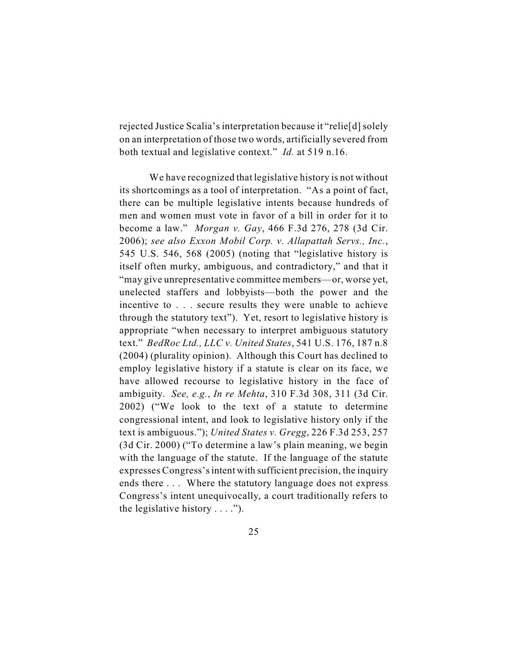rejected Justice Scalia's interpretation because it "relie[d] solely on an interpretation of those two words, artificially severed from both textual and legislative context." *Id.* at 519 n.16.

We have recognized that legislative history is not without its shortcomings as a tool of interpretation. "As a point of fact, there can be multiple legislative intents because hundreds of men and women must vote in favor of a bill in order for it to become a law." *Morgan v. Gay*, 466 F.3d 276, 278 (3d Cir. 2006); *see also Exxon Mobil Corp. v. Allapattah Servs., Inc.*, 545 U.S. 546, 568 (2005) (noting that "legislative history is itself often murky, ambiguous, and contradictory," and that it "may give unrepresentative committee members—or, worse yet, unelected staffers and lobbyists—both the power and the incentive to . . . secure results they were unable to achieve through the statutory text"). Yet, resort to legislative history is appropriate "when necessary to interpret ambiguous statutory text." *BedRoc Ltd., LLC v. United States*, 541 U.S. 176, 187 n.8 (2004) (plurality opinion). Although this Court has declined to employ legislative history if a statute is clear on its face, we have allowed recourse to legislative history in the face of ambiguity. *See, e.g.*, *In re Mehta*, 310 F.3d 308, 311 (3d Cir. 2002) ("We look to the text of a statute to determine congressional intent, and look to legislative history only if the text is ambiguous."); *United States v. Gregg*, 226 F.3d 253, 257 (3d Cir. 2000) ("To determine a law's plain meaning, we begin with the language of the statute. If the language of the statute expresses Congress's intent with sufficient precision, the inquiry ends there . . . Where the statutory language does not express Congress's intent unequivocally, a court traditionally refers to the legislative history  $\dots$ .").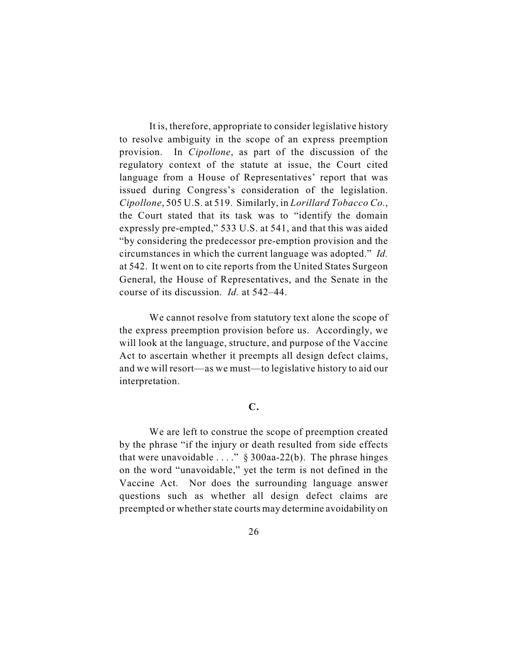It is, therefore, appropriate to consider legislative history to resolve ambiguity in the scope of an express preemption provision. In *Cipollone*, as part of the discussion of the regulatory context of the statute at issue, the Court cited language from a House of Representatives' report that was issued during Congress's consideration of the legislation. *Cipollone*, 505 U.S. at 519. Similarly, in *Lorillard Tobacco Co.*, the Court stated that its task was to "identify the domain expressly pre-empted," 533 U.S. at 541, and that this was aided "by considering the predecessor pre-emption provision and the circumstances in which the current language was adopted." *Id.* at 542. It went on to cite reports from the United States Surgeon General, the House of Representatives, and the Senate in the course of its discussion. *Id.* at 542–44.

We cannot resolve from statutory text alone the scope of the express preemption provision before us. Accordingly, we will look at the language, structure, and purpose of the Vaccine Act to ascertain whether it preempts all design defect claims, and we will resort—as we must—to legislative history to aid our interpretation.

# **C.**

We are left to construe the scope of preemption created by the phrase "if the injury or death resulted from side effects that were unavoidable  $\dots$ ." § 300aa-22(b). The phrase hinges on the word "unavoidable," yet the term is not defined in the Vaccine Act. Nor does the surrounding language answer questions such as whether all design defect claims are preempted or whether state courts may determine avoidability on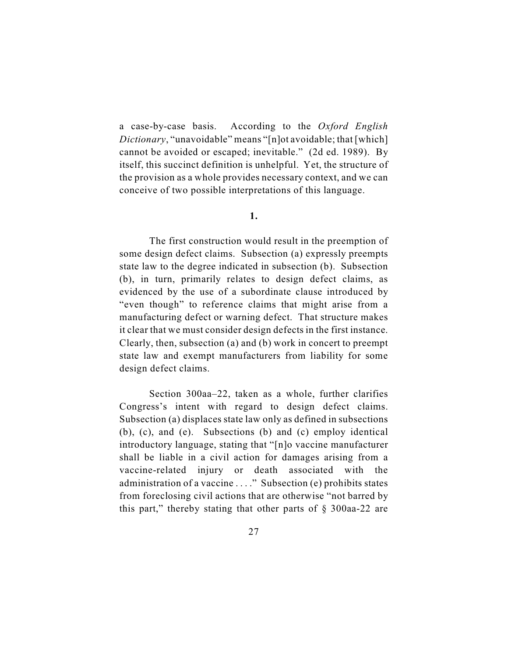a case-by-case basis. According to the *Oxford English Dictionary*, "unavoidable" means "[n]ot avoidable; that [which] cannot be avoided or escaped; inevitable." (2d ed. 1989). By itself, this succinct definition is unhelpful. Yet, the structure of the provision as a whole provides necessary context, and we can conceive of two possible interpretations of this language.

### **1.**

The first construction would result in the preemption of some design defect claims. Subsection (a) expressly preempts state law to the degree indicated in subsection (b). Subsection (b), in turn, primarily relates to design defect claims, as evidenced by the use of a subordinate clause introduced by "even though" to reference claims that might arise from a manufacturing defect or warning defect. That structure makes it clear that we must consider design defects in the first instance. Clearly, then, subsection (a) and (b) work in concert to preempt state law and exempt manufacturers from liability for some design defect claims.

Section 300aa–22, taken as a whole, further clarifies Congress's intent with regard to design defect claims. Subsection (a) displaces state law only as defined in subsections (b), (c), and (e). Subsections (b) and (c) employ identical introductory language, stating that "[n]o vaccine manufacturer shall be liable in a civil action for damages arising from a vaccine-related injury or death associated with the administration of a vaccine . . . ." Subsection (e) prohibits states from foreclosing civil actions that are otherwise "not barred by this part," thereby stating that other parts of  $\S$  300aa-22 are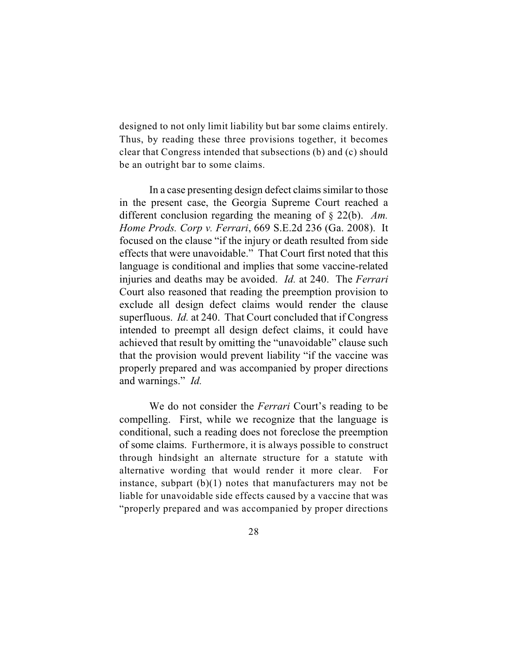designed to not only limit liability but bar some claims entirely. Thus, by reading these three provisions together, it becomes clear that Congress intended that subsections (b) and (c) should be an outright bar to some claims.

In a case presenting design defect claims similar to those in the present case, the Georgia Supreme Court reached a different conclusion regarding the meaning of § 22(b). *Am. Home Prods. Corp v. Ferrari*, 669 S.E.2d 236 (Ga. 2008). It focused on the clause "if the injury or death resulted from side effects that were unavoidable." That Court first noted that this language is conditional and implies that some vaccine-related injuries and deaths may be avoided. *Id.* at 240. The *Ferrari* Court also reasoned that reading the preemption provision to exclude all design defect claims would render the clause superfluous. *Id.* at 240. That Court concluded that if Congress intended to preempt all design defect claims, it could have achieved that result by omitting the "unavoidable" clause such that the provision would prevent liability "if the vaccine was properly prepared and was accompanied by proper directions and warnings." *Id.*

We do not consider the *Ferrari* Court's reading to be compelling. First, while we recognize that the language is conditional, such a reading does not foreclose the preemption of some claims. Furthermore, it is always possible to construct through hindsight an alternate structure for a statute with alternative wording that would render it more clear. For instance, subpart  $(b)(1)$  notes that manufacturers may not be liable for unavoidable side effects caused by a vaccine that was "properly prepared and was accompanied by proper directions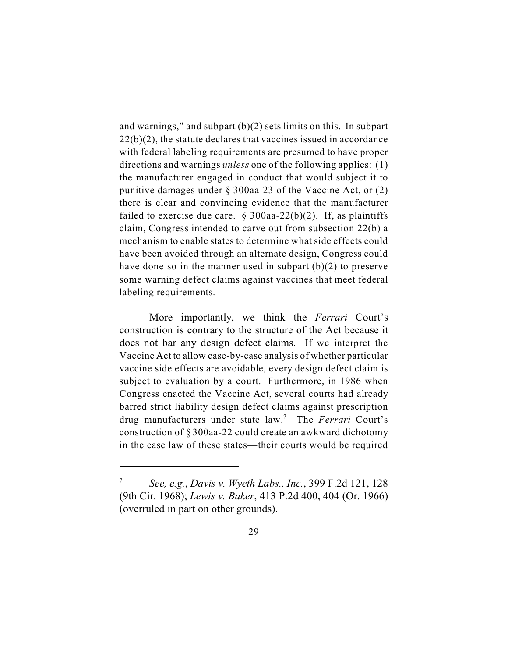and warnings," and subpart (b)(2) sets limits on this. In subpart 22(b)(2), the statute declares that vaccines issued in accordance with federal labeling requirements are presumed to have proper directions and warnings *unless* one of the following applies: (1) the manufacturer engaged in conduct that would subject it to punitive damages under § 300aa-23 of the Vaccine Act, or (2) there is clear and convincing evidence that the manufacturer failed to exercise due care.  $\S 300$ aa-22(b)(2). If, as plaintiffs claim, Congress intended to carve out from subsection 22(b) a mechanism to enable states to determine what side effects could have been avoided through an alternate design, Congress could have done so in the manner used in subpart (b)(2) to preserve some warning defect claims against vaccines that meet federal labeling requirements.

More importantly, we think the *Ferrari* Court's construction is contrary to the structure of the Act because it does not bar any design defect claims. If we interpret the Vaccine Act to allow case-by-case analysis of whether particular vaccine side effects are avoidable, every design defect claim is subject to evaluation by a court. Furthermore, in 1986 when Congress enacted the Vaccine Act, several courts had already barred strict liability design defect claims against prescription drug manufacturers under state law.<sup>7</sup> The *Ferrari* Court's construction of § 300aa-22 could create an awkward dichotomy in the case law of these states—their courts would be required

*See, e.g.*, *Davis v. Wyeth Labs., Inc.*, 399 F.2d 121, 128 <sup>7</sup> (9th Cir. 1968); *Lewis v. Baker*, 413 P.2d 400, 404 (Or. 1966) (overruled in part on other grounds).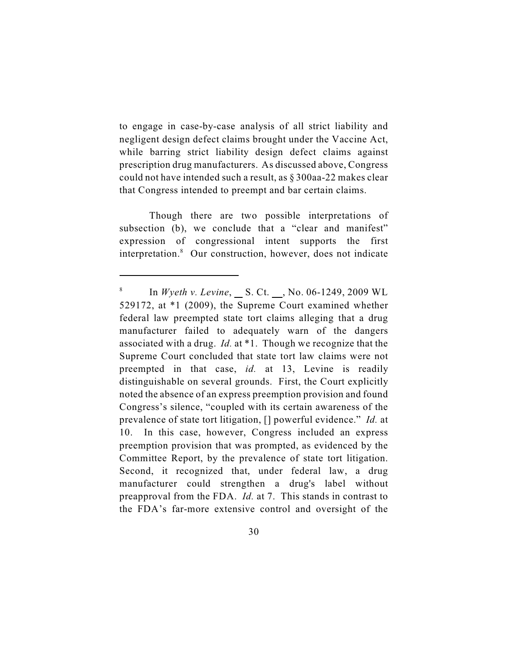to engage in case-by-case analysis of all strict liability and negligent design defect claims brought under the Vaccine Act, while barring strict liability design defect claims against prescription drug manufacturers. As discussed above, Congress could not have intended such a result, as § 300aa-22 makes clear that Congress intended to preempt and bar certain claims.

Though there are two possible interpretations of subsection (b), we conclude that a "clear and manifest" expression of congressional intent supports the first interpretation.<sup>8</sup> Our construction, however, does not indicate

In *Wyeth v. Levine*, \_ S. Ct. \_, No. 06-1249, 2009 WL 529172, at \*1 (2009), the Supreme Court examined whether federal law preempted state tort claims alleging that a drug manufacturer failed to adequately warn of the dangers associated with a drug. *Id.* at \*1. Though we recognize that the Supreme Court concluded that state tort law claims were not preempted in that case, *id.* at 13, Levine is readily distinguishable on several grounds. First, the Court explicitly noted the absence of an express preemption provision and found Congress's silence, "coupled with its certain awareness of the prevalence of state tort litigation, [] powerful evidence." *Id.* at 10. In this case, however, Congress included an express preemption provision that was prompted, as evidenced by the Committee Report, by the prevalence of state tort litigation. Second, it recognized that, under federal law, a drug manufacturer could strengthen a drug's label without preapproval from the FDA. *Id.* at 7. This stands in contrast to the FDA's far-more extensive control and oversight of the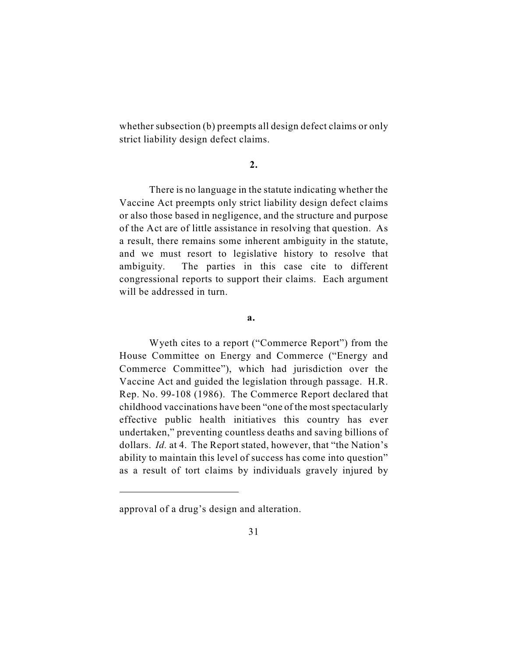whether subsection (b) preempts all design defect claims or only strict liability design defect claims.

# **2.**

There is no language in the statute indicating whether the Vaccine Act preempts only strict liability design defect claims or also those based in negligence, and the structure and purpose of the Act are of little assistance in resolving that question. As a result, there remains some inherent ambiguity in the statute, and we must resort to legislative history to resolve that ambiguity. The parties in this case cite to different congressional reports to support their claims. Each argument will be addressed in turn.

#### **a.**

Wyeth cites to a report ("Commerce Report") from the House Committee on Energy and Commerce ("Energy and Commerce Committee"), which had jurisdiction over the Vaccine Act and guided the legislation through passage. H.R. Rep. No. 99-108 (1986). The Commerce Report declared that childhood vaccinations have been "one of the most spectacularly effective public health initiatives this country has ever undertaken," preventing countless deaths and saving billions of dollars. *Id.* at 4. The Report stated, however, that "the Nation's ability to maintain this level of success has come into question" as a result of tort claims by individuals gravely injured by

approval of a drug's design and alteration.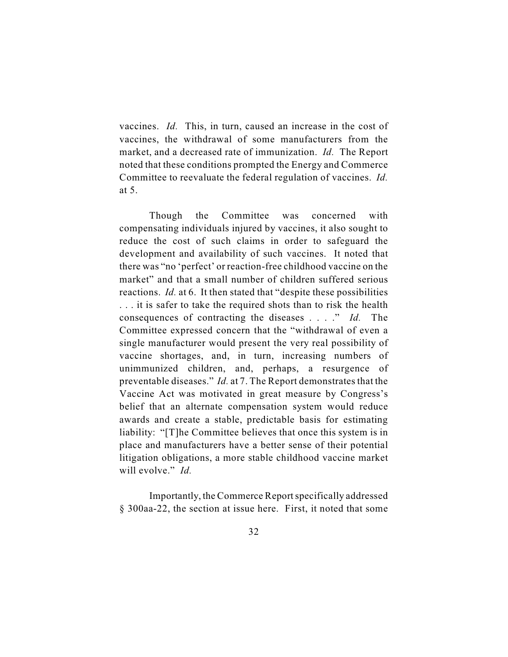vaccines. *Id.* This, in turn, caused an increase in the cost of vaccines, the withdrawal of some manufacturers from the market, and a decreased rate of immunization. *Id.* The Report noted that these conditions prompted the Energy and Commerce Committee to reevaluate the federal regulation of vaccines. *Id.* at 5.

Though the Committee was concerned with compensating individuals injured by vaccines, it also sought to reduce the cost of such claims in order to safeguard the development and availability of such vaccines. It noted that there was "no 'perfect' or reaction-free childhood vaccine on the market" and that a small number of children suffered serious reactions. *Id.* at 6. It then stated that "despite these possibilities . . . it is safer to take the required shots than to risk the health consequences of contracting the diseases . . . ." *Id.* The Committee expressed concern that the "withdrawal of even a single manufacturer would present the very real possibility of vaccine shortages, and, in turn, increasing numbers of unimmunized children, and, perhaps, a resurgence of preventable diseases." *Id.* at 7. The Report demonstrates that the Vaccine Act was motivated in great measure by Congress's belief that an alternate compensation system would reduce awards and create a stable, predictable basis for estimating liability: "[T]he Committee believes that once this system is in place and manufacturers have a better sense of their potential litigation obligations, a more stable childhood vaccine market will evolve." *Id.*

Importantly, the Commerce Report specifically addressed § 300aa-22, the section at issue here. First, it noted that some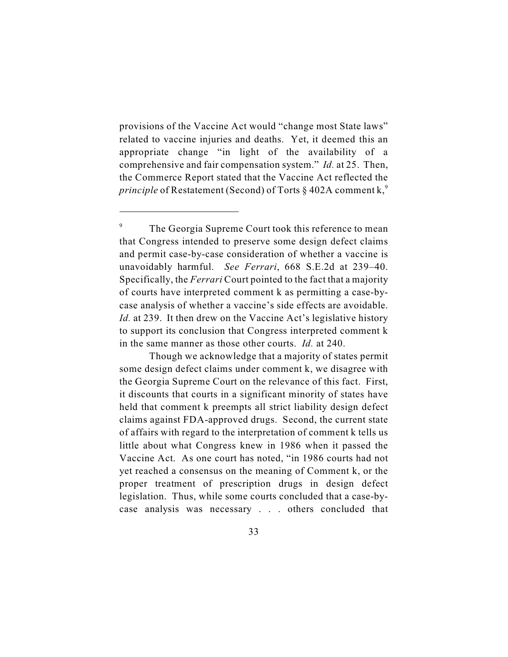provisions of the Vaccine Act would "change most State laws" related to vaccine injuries and deaths. Yet, it deemed this an appropriate change "in light of the availability of a comprehensive and fair compensation system." *Id.* at 25. Then, the Commerce Report stated that the Vaccine Act reflected the *principle* of Restatement (Second) of Torts § 402A comment k,<sup>9</sup>

Though we acknowledge that a majority of states permit some design defect claims under comment k, we disagree with the Georgia Supreme Court on the relevance of this fact. First, it discounts that courts in a significant minority of states have held that comment k preempts all strict liability design defect claims against FDA-approved drugs. Second, the current state of affairs with regard to the interpretation of comment k tells us little about what Congress knew in 1986 when it passed the Vaccine Act. As one court has noted, "in 1986 courts had not yet reached a consensus on the meaning of Comment k, or the proper treatment of prescription drugs in design defect legislation. Thus, while some courts concluded that a case-bycase analysis was necessary . . . others concluded that

<sup>&</sup>lt;sup>9</sup> The Georgia Supreme Court took this reference to mean that Congress intended to preserve some design defect claims and permit case-by-case consideration of whether a vaccine is unavoidably harmful. *See Ferrari*, 668 S.E.2d at 239–40. Specifically, the *Ferrari* Court pointed to the fact that a majority of courts have interpreted comment k as permitting a case-bycase analysis of whether a vaccine's side effects are avoidable. *Id.* at 239. It then drew on the Vaccine Act's legislative history to support its conclusion that Congress interpreted comment k in the same manner as those other courts. *Id.* at 240.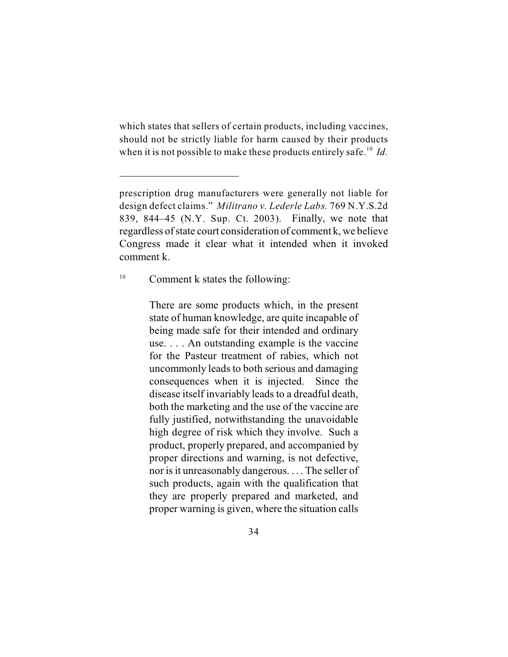which states that sellers of certain products, including vaccines, should not be strictly liable for harm caused by their products when it is not possible to make these products entirely safe.<sup>10</sup> Id.

 $^{10}$  Comment k states the following:

There are some products which, in the present state of human knowledge, are quite incapable of being made safe for their intended and ordinary use. . . . An outstanding example is the vaccine for the Pasteur treatment of rabies, which not uncommonly leads to both serious and damaging consequences when it is injected. Since the disease itself invariably leads to a dreadful death, both the marketing and the use of the vaccine are fully justified, notwithstanding the unavoidable high degree of risk which they involve. Such a product, properly prepared, and accompanied by proper directions and warning, is not defective, nor is it unreasonably dangerous. . . . The seller of such products, again with the qualification that they are properly prepared and marketed, and proper warning is given, where the situation calls

prescription drug manufacturers were generally not liable for design defect claims." *Militrano v. Lederle Labs.* 769 N.Y.S.2d 839, 844–45 (N.Y. Sup. Ct. 2003). Finally, we note that regardless of state court consideration of comment k, we believe Congress made it clear what it intended when it invoked comment k.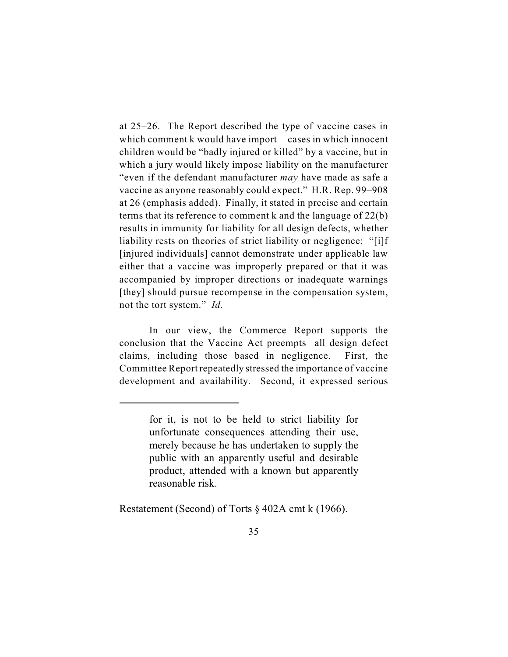at 25–26. The Report described the type of vaccine cases in which comment k would have import—cases in which innocent children would be "badly injured or killed" by a vaccine, but in which a jury would likely impose liability on the manufacturer "even if the defendant manufacturer *may* have made as safe a vaccine as anyone reasonably could expect." H.R. Rep. 99–908 at 26 (emphasis added). Finally, it stated in precise and certain terms that its reference to comment k and the language of 22(b) results in immunity for liability for all design defects, whether liability rests on theories of strict liability or negligence: "[i]f [injured individuals] cannot demonstrate under applicable law either that a vaccine was improperly prepared or that it was accompanied by improper directions or inadequate warnings [they] should pursue recompense in the compensation system, not the tort system." *Id.*

In our view, the Commerce Report supports the conclusion that the Vaccine Act preempts all design defect claims, including those based in negligence. First, the Committee Report repeatedly stressed the importance of vaccine development and availability. Second, it expressed serious

Restatement (Second) of Torts § 402A cmt k (1966).

for it, is not to be held to strict liability for unfortunate consequences attending their use, merely because he has undertaken to supply the public with an apparently useful and desirable product, attended with a known but apparently reasonable risk.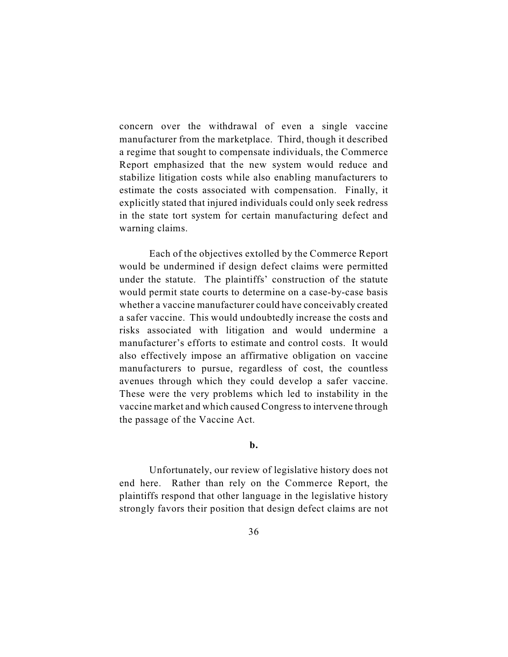concern over the withdrawal of even a single vaccine manufacturer from the marketplace. Third, though it described a regime that sought to compensate individuals, the Commerce Report emphasized that the new system would reduce and stabilize litigation costs while also enabling manufacturers to estimate the costs associated with compensation. Finally, it explicitly stated that injured individuals could only seek redress in the state tort system for certain manufacturing defect and warning claims.

Each of the objectives extolled by the Commerce Report would be undermined if design defect claims were permitted under the statute. The plaintiffs' construction of the statute would permit state courts to determine on a case-by-case basis whether a vaccine manufacturer could have conceivably created a safer vaccine. This would undoubtedly increase the costs and risks associated with litigation and would undermine a manufacturer's efforts to estimate and control costs. It would also effectively impose an affirmative obligation on vaccine manufacturers to pursue, regardless of cost, the countless avenues through which they could develop a safer vaccine. These were the very problems which led to instability in the vaccine market and which caused Congress to intervene through the passage of the Vaccine Act.

**b.**

Unfortunately, our review of legislative history does not end here. Rather than rely on the Commerce Report, the plaintiffs respond that other language in the legislative history strongly favors their position that design defect claims are not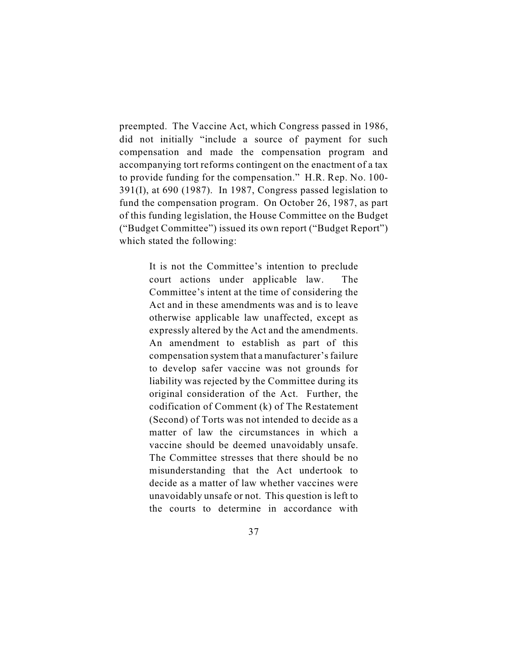preempted. The Vaccine Act, which Congress passed in 1986, did not initially "include a source of payment for such compensation and made the compensation program and accompanying tort reforms contingent on the enactment of a tax to provide funding for the compensation." H.R. Rep. No. 100- 391(I), at 690 (1987). In 1987, Congress passed legislation to fund the compensation program. On October 26, 1987, as part of this funding legislation, the House Committee on the Budget ("Budget Committee") issued its own report ("Budget Report") which stated the following:

> It is not the Committee's intention to preclude court actions under applicable law. The Committee's intent at the time of considering the Act and in these amendments was and is to leave otherwise applicable law unaffected, except as expressly altered by the Act and the amendments. An amendment to establish as part of this compensation system that a manufacturer's failure to develop safer vaccine was not grounds for liability was rejected by the Committee during its original consideration of the Act. Further, the codification of Comment (k) of The Restatement (Second) of Torts was not intended to decide as a matter of law the circumstances in which a vaccine should be deemed unavoidably unsafe. The Committee stresses that there should be no misunderstanding that the Act undertook to decide as a matter of law whether vaccines were unavoidably unsafe or not. This question is left to the courts to determine in accordance with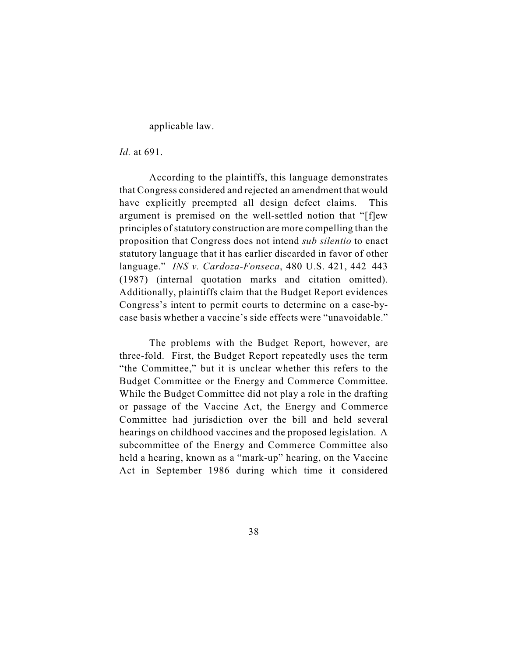applicable law.

*Id.* at 691.

According to the plaintiffs, this language demonstrates that Congress considered and rejected an amendment that would have explicitly preempted all design defect claims. This argument is premised on the well-settled notion that "[f]ew principles of statutory construction are more compelling than the proposition that Congress does not intend *sub silentio* to enact statutory language that it has earlier discarded in favor of other language." *INS v. Cardoza-Fonseca*, 480 U.S. 421, 442–443 (1987) (internal quotation marks and citation omitted). Additionally, plaintiffs claim that the Budget Report evidences Congress's intent to permit courts to determine on a case-bycase basis whether a vaccine's side effects were "unavoidable."

The problems with the Budget Report, however, are three-fold. First, the Budget Report repeatedly uses the term "the Committee," but it is unclear whether this refers to the Budget Committee or the Energy and Commerce Committee. While the Budget Committee did not play a role in the drafting or passage of the Vaccine Act, the Energy and Commerce Committee had jurisdiction over the bill and held several hearings on childhood vaccines and the proposed legislation. A subcommittee of the Energy and Commerce Committee also held a hearing, known as a "mark-up" hearing, on the Vaccine Act in September 1986 during which time it considered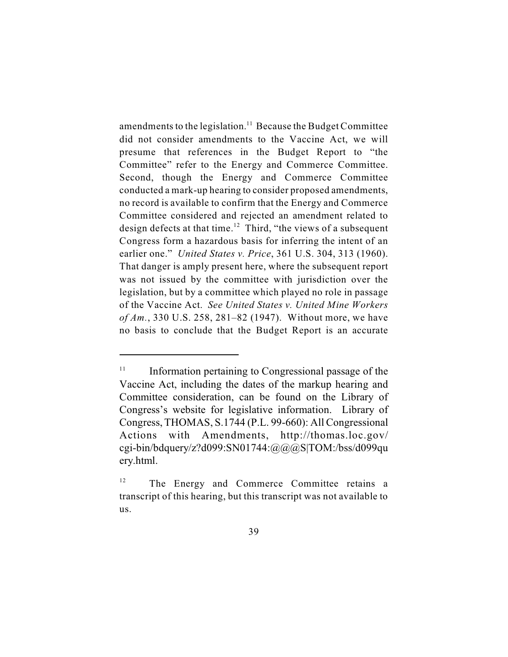amendments to the legislation.<sup>11</sup> Because the Budget Committee did not consider amendments to the Vaccine Act, we will presume that references in the Budget Report to "the Committee" refer to the Energy and Commerce Committee. Second, though the Energy and Commerce Committee conducted a mark-up hearing to consider proposed amendments, no record is available to confirm that the Energy and Commerce Committee considered and rejected an amendment related to design defects at that time.<sup>12</sup> Third, "the views of a subsequent Congress form a hazardous basis for inferring the intent of an earlier one." *United States v. Price*, 361 U.S. 304, 313 (1960). That danger is amply present here, where the subsequent report was not issued by the committee with jurisdiction over the legislation, but by a committee which played no role in passage of the Vaccine Act. *See United States v. United Mine Workers of Am.*, 330 U.S. 258, 281–82 (1947). Without more, we have no basis to conclude that the Budget Report is an accurate

 $\mu$ <sup>11</sup> Information pertaining to Congressional passage of the Vaccine Act, including the dates of the markup hearing and Committee consideration, can be found on the Library of Congress's website for legislative information. Library of Congress, THOMAS, S.1744 (P.L. 99-660): All Congressional Actions with Amendments, http://thomas.loc.gov/ cgi-bin/bdquery/z?d099:SN01744: $\omega(\omega)$   $\omega$ S|TOM:/bss/d099qu ery.html.

 $12$  The Energy and Commerce Committee retains a transcript of this hearing, but this transcript was not available to us.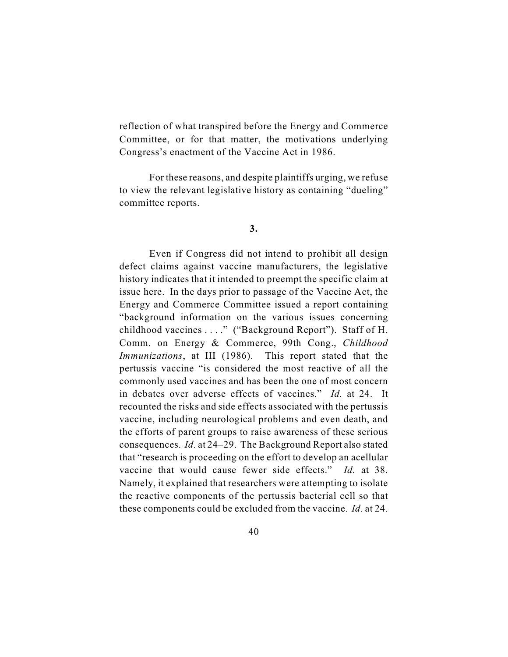reflection of what transpired before the Energy and Commerce Committee, or for that matter, the motivations underlying Congress's enactment of the Vaccine Act in 1986.

For these reasons, and despite plaintiffs urging, we refuse to view the relevant legislative history as containing "dueling" committee reports.

### **3.**

Even if Congress did not intend to prohibit all design defect claims against vaccine manufacturers, the legislative history indicates that it intended to preempt the specific claim at issue here. In the days prior to passage of the Vaccine Act, the Energy and Commerce Committee issued a report containing "background information on the various issues concerning childhood vaccines . . . ." ("Background Report"). Staff of H. Comm. on Energy & Commerce, 99th Cong., *Childhood Immunizations*, at III (1986). This report stated that the pertussis vaccine "is considered the most reactive of all the commonly used vaccines and has been the one of most concern in debates over adverse effects of vaccines." *Id.* at 24. It recounted the risks and side effects associated with the pertussis vaccine, including neurological problems and even death, and the efforts of parent groups to raise awareness of these serious consequences. *Id.* at 24–29. The Background Report also stated that "research is proceeding on the effort to develop an acellular vaccine that would cause fewer side effects." *Id.* at 38. Namely, it explained that researchers were attempting to isolate the reactive components of the pertussis bacterial cell so that these components could be excluded from the vaccine. *Id.* at 24.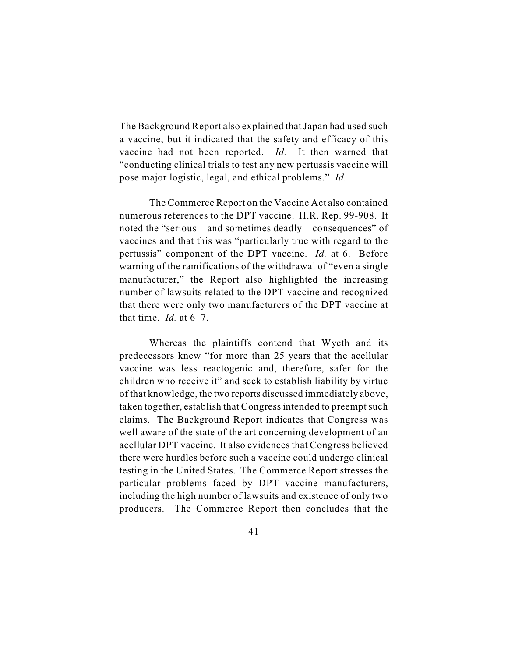The Background Report also explained that Japan had used such a vaccine, but it indicated that the safety and efficacy of this vaccine had not been reported. *Id.* It then warned that "conducting clinical trials to test any new pertussis vaccine will pose major logistic, legal, and ethical problems." *Id.* 

The Commerce Report on the Vaccine Act also contained numerous references to the DPT vaccine. H.R. Rep. 99-908. It noted the "serious—and sometimes deadly—consequences" of vaccines and that this was "particularly true with regard to the pertussis" component of the DPT vaccine. *Id.* at 6. Before warning of the ramifications of the withdrawal of "even a single manufacturer," the Report also highlighted the increasing number of lawsuits related to the DPT vaccine and recognized that there were only two manufacturers of the DPT vaccine at that time.  $Id$  at  $6-7$ .

Whereas the plaintiffs contend that Wyeth and its predecessors knew "for more than 25 years that the acellular vaccine was less reactogenic and, therefore, safer for the children who receive it" and seek to establish liability by virtue of that knowledge, the two reports discussed immediately above, taken together, establish that Congress intended to preempt such claims. The Background Report indicates that Congress was well aware of the state of the art concerning development of an acellular DPT vaccine. It also evidences that Congress believed there were hurdles before such a vaccine could undergo clinical testing in the United States. The Commerce Report stresses the particular problems faced by DPT vaccine manufacturers, including the high number of lawsuits and existence of only two producers. The Commerce Report then concludes that the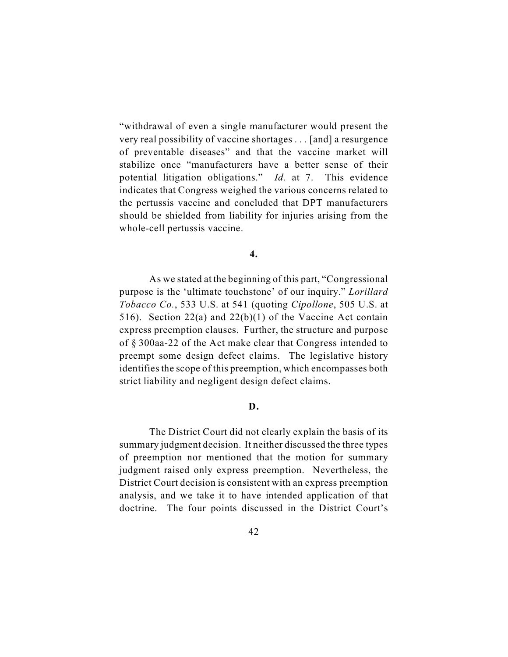"withdrawal of even a single manufacturer would present the very real possibility of vaccine shortages . . . [and] a resurgence of preventable diseases" and that the vaccine market will stabilize once "manufacturers have a better sense of their potential litigation obligations." *Id.* at 7. This evidence indicates that Congress weighed the various concerns related to the pertussis vaccine and concluded that DPT manufacturers should be shielded from liability for injuries arising from the whole-cell pertussis vaccine.

**4.**

As we stated at the beginning of this part, "Congressional purpose is the 'ultimate touchstone' of our inquiry." *Lorillard Tobacco Co.*, 533 U.S. at 541 (quoting *Cipollone*, 505 U.S. at 516). Section 22(a) and 22(b)(1) of the Vaccine Act contain express preemption clauses. Further, the structure and purpose of § 300aa-22 of the Act make clear that Congress intended to preempt some design defect claims. The legislative history identifies the scope of this preemption, which encompasses both strict liability and negligent design defect claims.

# **D.**

The District Court did not clearly explain the basis of its summary judgment decision. It neither discussed the three types of preemption nor mentioned that the motion for summary judgment raised only express preemption. Nevertheless, the District Court decision is consistent with an express preemption analysis, and we take it to have intended application of that doctrine. The four points discussed in the District Court's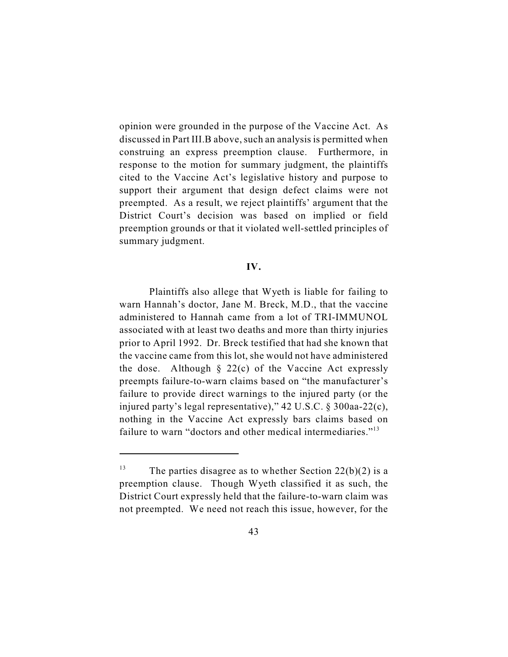opinion were grounded in the purpose of the Vaccine Act. As discussed in Part III.B above, such an analysis is permitted when construing an express preemption clause. Furthermore, in response to the motion for summary judgment, the plaintiffs cited to the Vaccine Act's legislative history and purpose to support their argument that design defect claims were not preempted. As a result, we reject plaintiffs' argument that the District Court's decision was based on implied or field preemption grounds or that it violated well-settled principles of summary judgment.

#### **IV.**

Plaintiffs also allege that Wyeth is liable for failing to warn Hannah's doctor, Jane M. Breck, M.D., that the vaccine administered to Hannah came from a lot of TRI-IMMUNOL associated with at least two deaths and more than thirty injuries prior to April 1992. Dr. Breck testified that had she known that the vaccine came from this lot, she would not have administered the dose. Although  $\S$  22(c) of the Vaccine Act expressly preempts failure-to-warn claims based on "the manufacturer's failure to provide direct warnings to the injured party (or the injured party's legal representative)," 42 U.S.C. § 300aa-22(c), nothing in the Vaccine Act expressly bars claims based on failure to warn "doctors and other medical intermediaries."<sup>13</sup>

<sup>&</sup>lt;sup>13</sup> The parties disagree as to whether Section 22(b)(2) is a preemption clause. Though Wyeth classified it as such, the District Court expressly held that the failure-to-warn claim was not preempted. We need not reach this issue, however, for the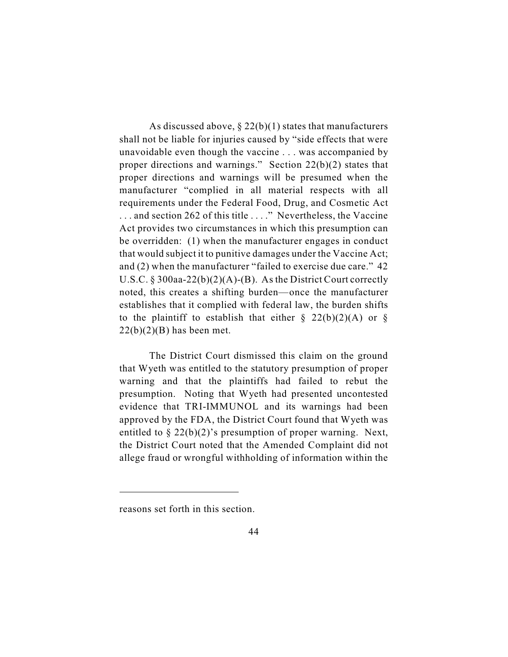As discussed above,  $\S 22(b)(1)$  states that manufacturers shall not be liable for injuries caused by "side effects that were unavoidable even though the vaccine . . . was accompanied by proper directions and warnings." Section 22(b)(2) states that proper directions and warnings will be presumed when the manufacturer "complied in all material respects with all requirements under the Federal Food, Drug, and Cosmetic Act . . . and section 262 of this title . . . ." Nevertheless, the Vaccine Act provides two circumstances in which this presumption can be overridden: (1) when the manufacturer engages in conduct that would subject it to punitive damages under the Vaccine Act; and (2) when the manufacturer "failed to exercise due care." 42 U.S.C. § 300aa-22(b)(2)(A)-(B). As the District Court correctly noted, this creates a shifting burden—once the manufacturer establishes that it complied with federal law, the burden shifts to the plaintiff to establish that either  $\S$  22(b)(2)(A) or  $\S$  $22(b)(2)(B)$  has been met.

The District Court dismissed this claim on the ground that Wyeth was entitled to the statutory presumption of proper warning and that the plaintiffs had failed to rebut the presumption. Noting that Wyeth had presented uncontested evidence that TRI-IMMUNOL and its warnings had been approved by the FDA, the District Court found that Wyeth was entitled to  $\S 22(b)(2)$ 's presumption of proper warning. Next, the District Court noted that the Amended Complaint did not allege fraud or wrongful withholding of information within the

reasons set forth in this section.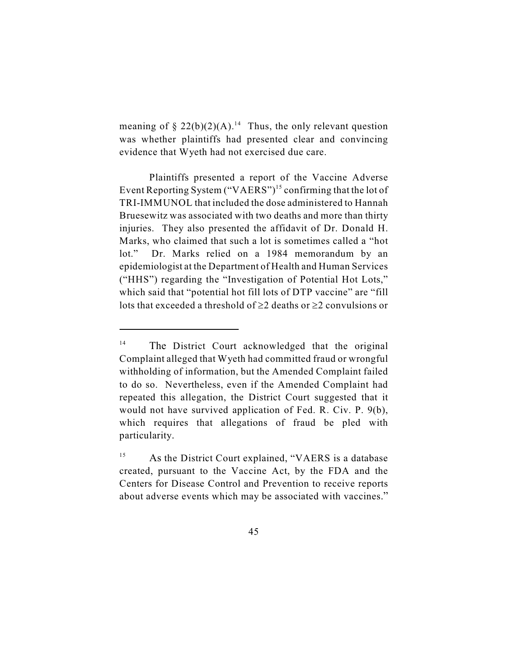meaning of  $\S 22(b)(2)(A)$ <sup>14</sup>. Thus, the only relevant question was whether plaintiffs had presented clear and convincing evidence that Wyeth had not exercised due care.

Plaintiffs presented a report of the Vaccine Adverse Event Reporting System ("VAERS")<sup>15</sup> confirming that the lot of TRI-IMMUNOL that included the dose administered to Hannah Bruesewitz was associated with two deaths and more than thirty injuries. They also presented the affidavit of Dr. Donald H. Marks, who claimed that such a lot is sometimes called a "hot lot." Dr. Marks relied on a 1984 memorandum by an epidemiologist at the Department of Health and Human Services ("HHS") regarding the "Investigation of Potential Hot Lots," which said that "potential hot fill lots of DTP vaccine" are "fill lots that exceeded a threshold of 2 deaths or 2 convulsions or

<sup>&</sup>lt;sup>14</sup> The District Court acknowledged that the original Complaint alleged that Wyeth had committed fraud or wrongful withholding of information, but the Amended Complaint failed to do so. Nevertheless, even if the Amended Complaint had repeated this allegation, the District Court suggested that it would not have survived application of Fed. R. Civ. P. 9(b), which requires that allegations of fraud be pled with particularity.

 $^{15}$  As the District Court explained, "VAERS is a database created, pursuant to the Vaccine Act, by the FDA and the Centers for Disease Control and Prevention to receive reports about adverse events which may be associated with vaccines."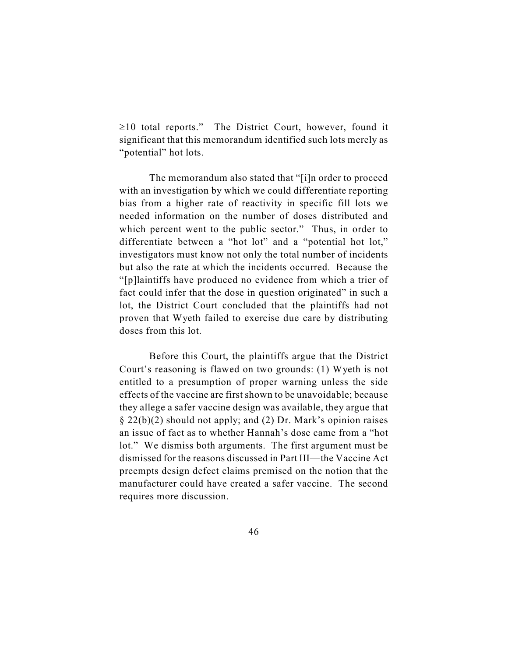10 total reports." The District Court, however, found it significant that this memorandum identified such lots merely as "potential" hot lots.

The memorandum also stated that "[i]n order to proceed with an investigation by which we could differentiate reporting bias from a higher rate of reactivity in specific fill lots we needed information on the number of doses distributed and which percent went to the public sector." Thus, in order to differentiate between a "hot lot" and a "potential hot lot," investigators must know not only the total number of incidents but also the rate at which the incidents occurred. Because the "[p]laintiffs have produced no evidence from which a trier of fact could infer that the dose in question originated" in such a lot, the District Court concluded that the plaintiffs had not proven that Wyeth failed to exercise due care by distributing doses from this lot.

Before this Court, the plaintiffs argue that the District Court's reasoning is flawed on two grounds: (1) Wyeth is not entitled to a presumption of proper warning unless the side effects of the vaccine are first shown to be unavoidable; because they allege a safer vaccine design was available, they argue that § 22(b)(2) should not apply; and (2) Dr. Mark's opinion raises an issue of fact as to whether Hannah's dose came from a "hot lot." We dismiss both arguments. The first argument must be dismissed for the reasons discussed in Part III—the Vaccine Act preempts design defect claims premised on the notion that the manufacturer could have created a safer vaccine. The second requires more discussion.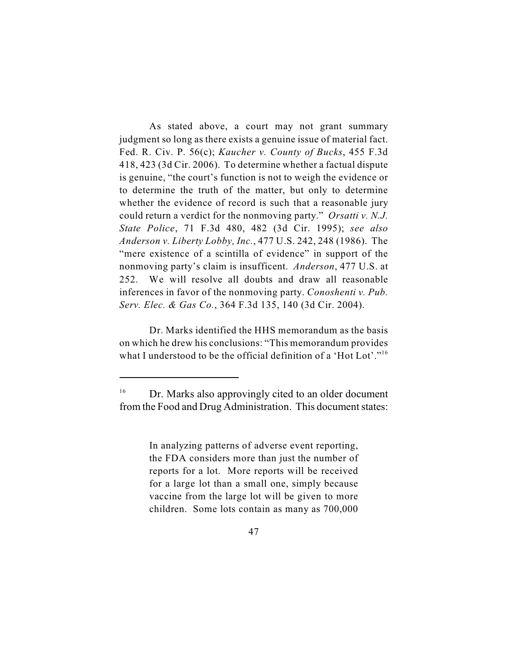As stated above, a court may not grant summary judgment so long as there exists a genuine issue of material fact. Fed. R. Civ. P. 56(c); *Kaucher v. County of Bucks*, 455 F.3d 418, 423 (3d Cir. 2006). To determine whether a factual dispute is genuine, "the court's function is not to weigh the evidence or to determine the truth of the matter, but only to determine whether the evidence of record is such that a reasonable jury could return a verdict for the nonmoving party." *Orsatti v. N.J. State Police*, 71 F.3d 480, 482 (3d Cir. 1995); *see also Anderson v. Liberty Lobby, Inc.*, 477 U.S. 242, 248 (1986). The "mere existence of a scintilla of evidence" in support of the nonmoving party's claim is insufficent. *Anderson*, 477 U.S. at 252. We will resolve all doubts and draw all reasonable inferences in favor of the nonmoving party. *Conoshenti v. Pub. Serv. Elec. & Gas Co.*, 364 F.3d 135, 140 (3d Cir. 2004).

Dr. Marks identified the HHS memorandum as the basis on which he drew his conclusions: "This memorandum provides what I understood to be the official definition of a 'Hot Lot'."<sup>16</sup>

In analyzing patterns of adverse event reporting, the FDA considers more than just the number of reports for a lot. More reports will be received for a large lot than a small one, simply because vaccine from the large lot will be given to more children. Some lots contain as many as 700,000

 $16$  Dr. Marks also approvingly cited to an older document from the Food and Drug Administration. This document states: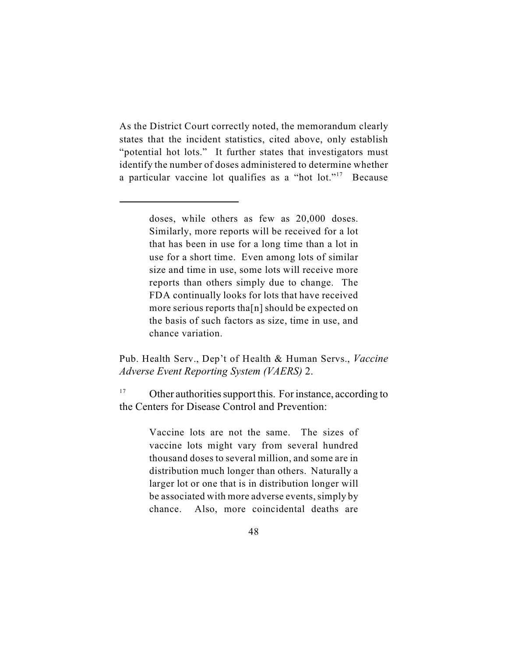As the District Court correctly noted, the memorandum clearly states that the incident statistics, cited above, only establish "potential hot lots." It further states that investigators must identify the number of doses administered to determine whether a particular vaccine lot qualifies as a "hot lot."<sup>17</sup> Because

> doses, while others as few as 20,000 doses. Similarly, more reports will be received for a lot that has been in use for a long time than a lot in use for a short time. Even among lots of similar size and time in use, some lots will receive more reports than others simply due to change. The FDA continually looks for lots that have received more serious reports tha[n] should be expected on the basis of such factors as size, time in use, and chance variation.

Pub. Health Serv., Dep't of Health & Human Servs., *Vaccine Adverse Event Reporting System (VAERS)* 2.

<sup>17</sup> Other authorities support this. For instance, according to the Centers for Disease Control and Prevention:

> Vaccine lots are not the same. The sizes of vaccine lots might vary from several hundred thousand doses to several million, and some are in distribution much longer than others. Naturally a larger lot or one that is in distribution longer will be associated with more adverse events, simply by chance. Also, more coincidental deaths are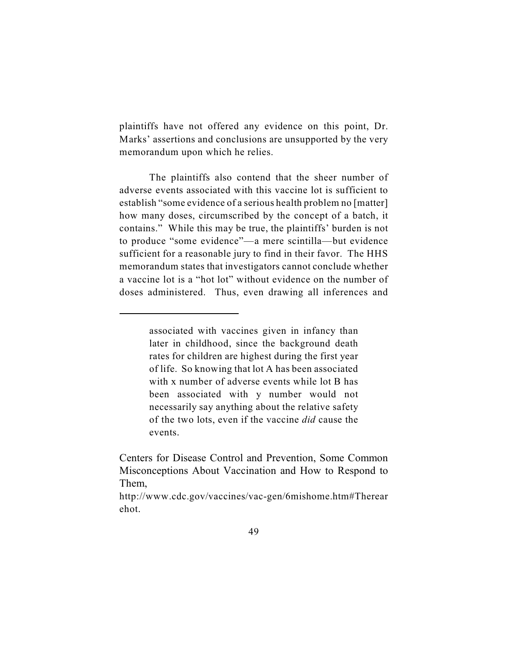plaintiffs have not offered any evidence on this point, Dr. Marks' assertions and conclusions are unsupported by the very memorandum upon which he relies.

The plaintiffs also contend that the sheer number of adverse events associated with this vaccine lot is sufficient to establish "some evidence of a serious health problem no [matter] how many doses, circumscribed by the concept of a batch, it contains." While this may be true, the plaintiffs' burden is not to produce "some evidence"—a mere scintilla—but evidence sufficient for a reasonable jury to find in their favor. The HHS memorandum states that investigators cannot conclude whether a vaccine lot is a "hot lot" without evidence on the number of doses administered. Thus, even drawing all inferences and

associated with vaccines given in infancy than later in childhood, since the background death rates for children are highest during the first year of life. So knowing that lot A has been associated with x number of adverse events while lot B has been associated with y number would not necessarily say anything about the relative safety of the two lots, even if the vaccine *did* cause the events.

Centers for Disease Control and Prevention, Some Common Misconceptions About Vaccination and How to Respond to Them,

http://www.cdc.gov/vaccines/vac-gen/6mishome.htm#Therear ehot.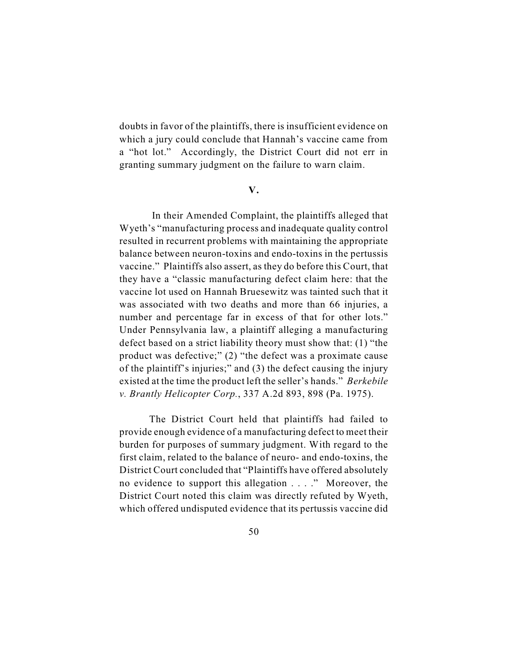doubts in favor of the plaintiffs, there is insufficient evidence on which a jury could conclude that Hannah's vaccine came from a "hot lot." Accordingly, the District Court did not err in granting summary judgment on the failure to warn claim.

**V.**

 In their Amended Complaint, the plaintiffs alleged that Wyeth's "manufacturing process and inadequate quality control resulted in recurrent problems with maintaining the appropriate balance between neuron-toxins and endo-toxins in the pertussis vaccine." Plaintiffs also assert, as they do before this Court, that they have a "classic manufacturing defect claim here: that the vaccine lot used on Hannah Bruesewitz was tainted such that it was associated with two deaths and more than 66 injuries, a number and percentage far in excess of that for other lots." Under Pennsylvania law, a plaintiff alleging a manufacturing defect based on a strict liability theory must show that: (1) "the product was defective;" (2) "the defect was a proximate cause of the plaintiff's injuries;" and (3) the defect causing the injury existed at the time the product left the seller's hands." *Berkebile v. Brantly Helicopter Corp.*, 337 A.2d 893, 898 (Pa. 1975).

The District Court held that plaintiffs had failed to provide enough evidence of a manufacturing defect to meet their burden for purposes of summary judgment. With regard to the first claim, related to the balance of neuro- and endo-toxins, the District Court concluded that "Plaintiffs have offered absolutely no evidence to support this allegation . . . ." Moreover, the District Court noted this claim was directly refuted by Wyeth, which offered undisputed evidence that its pertussis vaccine did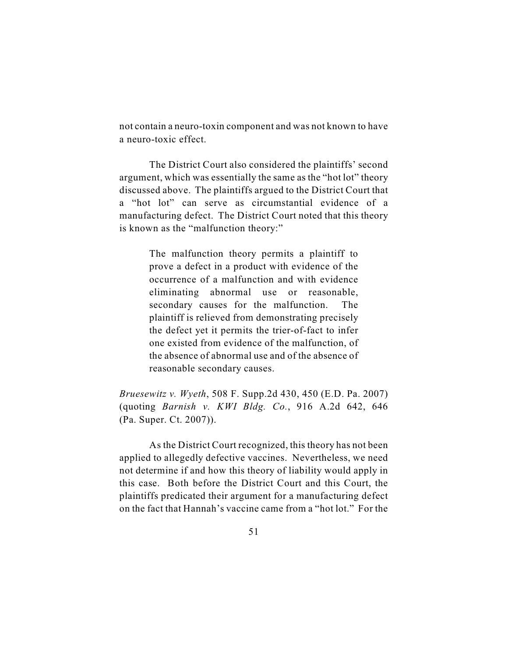not contain a neuro-toxin component and was not known to have a neuro-toxic effect.

The District Court also considered the plaintiffs' second argument, which was essentially the same as the "hot lot" theory discussed above. The plaintiffs argued to the District Court that a "hot lot" can serve as circumstantial evidence of a manufacturing defect. The District Court noted that this theory is known as the "malfunction theory:"

> The malfunction theory permits a plaintiff to prove a defect in a product with evidence of the occurrence of a malfunction and with evidence eliminating abnormal use or reasonable, secondary causes for the malfunction. The plaintiff is relieved from demonstrating precisely the defect yet it permits the trier-of-fact to infer one existed from evidence of the malfunction, of the absence of abnormal use and of the absence of reasonable secondary causes.

*Bruesewitz v. Wyeth*, 508 F. Supp.2d 430, 450 (E.D. Pa. 2007) (quoting *Barnish v. KWI Bldg. Co.*, 916 A.2d 642, 646 (Pa. Super. Ct. 2007)).

As the District Court recognized, this theory has not been applied to allegedly defective vaccines. Nevertheless, we need not determine if and how this theory of liability would apply in this case. Both before the District Court and this Court, the plaintiffs predicated their argument for a manufacturing defect on the fact that Hannah's vaccine came from a "hot lot." For the